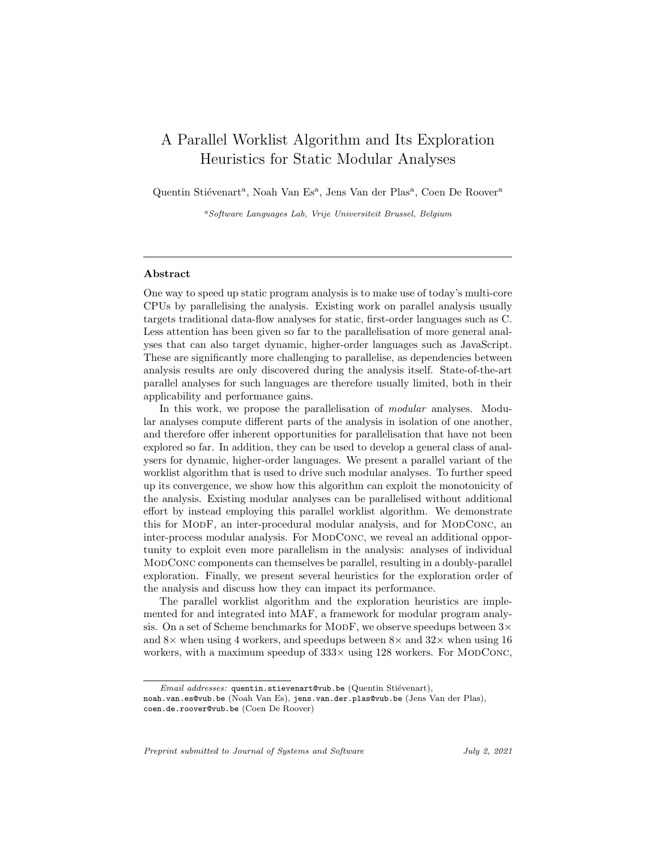# A Parallel Worklist Algorithm and Its Exploration Heuristics for Static Modular Analyses

Quentin Stiévenart<sup>a</sup>, Noah Van Es<sup>a</sup>, Jens Van der Plas<sup>a</sup>, Coen De Roover<sup>a</sup>

<sup>a</sup>Software Languages Lab, Vrije Universiteit Brussel, Belgium

#### Abstract

One way to speed up static program analysis is to make use of today's multi-core CPUs by parallelising the analysis. Existing work on parallel analysis usually targets traditional data-flow analyses for static, first-order languages such as C. Less attention has been given so far to the parallelisation of more general analyses that can also target dynamic, higher-order languages such as JavaScript. These are significantly more challenging to parallelise, as dependencies between analysis results are only discovered during the analysis itself. State-of-the-art parallel analyses for such languages are therefore usually limited, both in their applicability and performance gains.

In this work, we propose the parallelisation of *modular* analyses. Modular analyses compute different parts of the analysis in isolation of one another, and therefore offer inherent opportunities for parallelisation that have not been explored so far. In addition, they can be used to develop a general class of analysers for dynamic, higher-order languages. We present a parallel variant of the worklist algorithm that is used to drive such modular analyses. To further speed up its convergence, we show how this algorithm can exploit the monotonicity of the analysis. Existing modular analyses can be parallelised without additional effort by instead employing this parallel worklist algorithm. We demonstrate this for MODF, an inter-procedural modular analysis, and for MODCONC, an inter-process modular analysis. For MODCONC, we reveal an additional opportunity to exploit even more parallelism in the analysis: analyses of individual ModConc components can themselves be parallel, resulting in a doubly-parallel exploration. Finally, we present several heuristics for the exploration order of the analysis and discuss how they can impact its performance.

The parallel worklist algorithm and the exploration heuristics are implemented for and integrated into MAF, a framework for modular program analysis. On a set of Scheme benchmarks for MODF, we observe speedups between  $3\times$ and  $8\times$  when using 4 workers, and speedups between  $8\times$  and  $32\times$  when using 16 workers, with a maximum speedup of  $333 \times$  using 128 workers. For MODCONC,

Preprint submitted to Journal of Systems and Software  $July 2, 2021$ 

Email addresses: quentin.stievenart@vub.be (Quentin Stiévenart),

noah.van.es@vub.be (Noah Van Es), jens.van.der.plas@vub.be (Jens Van der Plas), coen.de.roover@vub.be (Coen De Roover)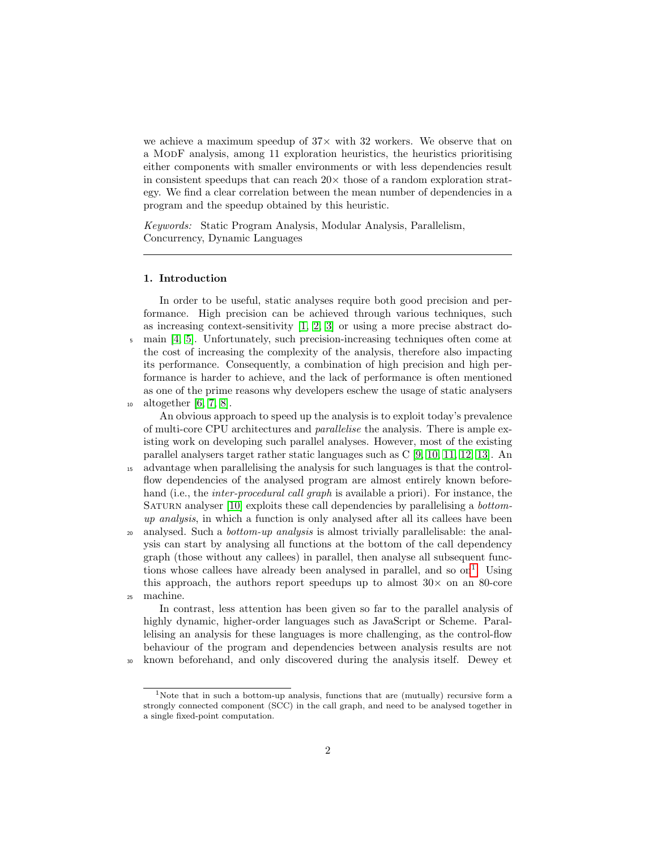we achieve a maximum speedup of  $37\times$  with 32 workers. We observe that on a ModF analysis, among 11 exploration heuristics, the heuristics prioritising either components with smaller environments or with less dependencies result in consistent speedups that can reach  $20 \times$  those of a random exploration strategy. We find a clear correlation between the mean number of dependencies in a program and the speedup obtained by this heuristic.

Keywords: Static Program Analysis, Modular Analysis, Parallelism, Concurrency, Dynamic Languages

## 1. Introduction

In order to be useful, static analyses require both good precision and performance. High precision can be achieved through various techniques, such as increasing context-sensitivity [\[1,](#page-36-0) [2,](#page-37-0) [3\]](#page-37-1) or using a more precise abstract do-<sup>5</sup> main [\[4,](#page-37-2) [5\]](#page-37-3). Unfortunately, such precision-increasing techniques often come at the cost of increasing the complexity of the analysis, therefore also impacting its performance. Consequently, a combination of high precision and high performance is harder to achieve, and the lack of performance is often mentioned as one of the prime reasons why developers eschew the usage of static analysers <sup>10</sup> altogether [\[6,](#page-37-4) [7,](#page-37-5) [8\]](#page-37-6).

An obvious approach to speed up the analysis is to exploit today's prevalence of multi-core CPU architectures and parallelise the analysis. There is ample existing work on developing such parallel analyses. However, most of the existing parallel analysers target rather static languages such as C [\[9,](#page-37-7) [10,](#page-38-0) [11,](#page-38-1) [12,](#page-38-2) [13\]](#page-38-3). An

- <sup>15</sup> advantage when parallelising the analysis for such languages is that the controlflow dependencies of the analysed program are almost entirely known beforehand (i.e., the *inter-procedural call graph* is available a priori). For instance, the SATURN analyser [\[10\]](#page-38-0) exploits these call dependencies by parallelising a *bottom*up analysis, in which a function is only analysed after all its callees have been <sup>20</sup> analysed. Such a *bottom-up analysis* is almost trivially parallelisable: the anal-
- ysis can start by analysing all functions at the bottom of the call dependency graph (those without any callees) in parallel, then analyse all subsequent functions whose callees have already been analysed in parallel, and so  $\text{on}^1$  $\text{on}^1$ . Using this approach, the authors report speedups up to almost  $30\times$  on an 80-core <sup>25</sup> machine.

In contrast, less attention has been given so far to the parallel analysis of highly dynamic, higher-order languages such as JavaScript or Scheme. Parallelising an analysis for these languages is more challenging, as the control-flow behaviour of the program and dependencies between analysis results are not <sup>30</sup> known beforehand, and only discovered during the analysis itself. Dewey et

<span id="page-1-0"></span><sup>1</sup>Note that in such a bottom-up analysis, functions that are (mutually) recursive form a strongly connected component (SCC) in the call graph, and need to be analysed together in a single fixed-point computation.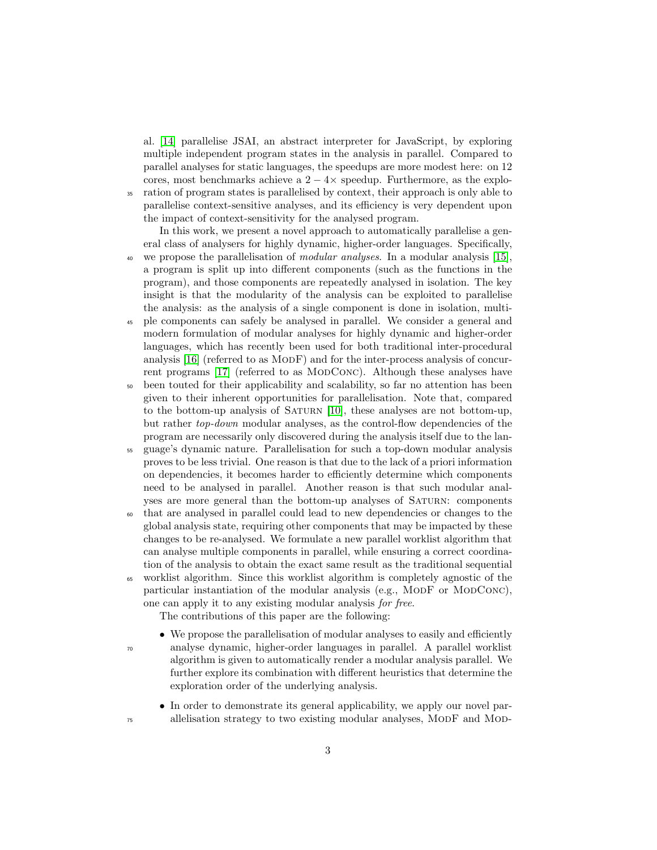al. [\[14\]](#page-38-4) parallelise JSAI, an abstract interpreter for JavaScript, by exploring multiple independent program states in the analysis in parallel. Compared to parallel analyses for static languages, the speedups are more modest here: on 12 cores, most benchmarks achieve a  $2 - 4 \times$  speedup. Furthermore, as the explo-<sup>35</sup> ration of program states is parallelised by context, their approach is only able to parallelise context-sensitive analyses, and its efficiency is very dependent upon the impact of context-sensitivity for the analysed program.

In this work, we present a novel approach to automatically parallelise a general class of analysers for highly dynamic, higher-order languages. Specifically, <sup>40</sup> we propose the parallelisation of *modular analyses*. In a modular analysis [\[15\]](#page-38-5), a program is split up into different components (such as the functions in the program), and those components are repeatedly analysed in isolation. The key insight is that the modularity of the analysis can be exploited to parallelise the analysis: as the analysis of a single component is done in isolation, multi-

- <sup>45</sup> ple components can safely be analysed in parallel. We consider a general and modern formulation of modular analyses for highly dynamic and higher-order languages, which has recently been used for both traditional inter-procedural analysis [\[16\]](#page-38-6) (referred to as MODF) and for the inter-process analysis of concur-rent programs [\[17\]](#page-38-7) (referred to as MODCONC). Although these analyses have
- <sup>50</sup> been touted for their applicability and scalability, so far no attention has been given to their inherent opportunities for parallelisation. Note that, compared to the bottom-up analysis of SATURN [\[10\]](#page-38-0), these analyses are not bottom-up, but rather top-down modular analyses, as the control-flow dependencies of the program are necessarily only discovered during the analysis itself due to the lan-
- <sup>55</sup> guage's dynamic nature. Parallelisation for such a top-down modular analysis proves to be less trivial. One reason is that due to the lack of a priori information on dependencies, it becomes harder to efficiently determine which components need to be analysed in parallel. Another reason is that such modular analyses are more general than the bottom-up analyses of SATURN: components
- <sup>60</sup> that are analysed in parallel could lead to new dependencies or changes to the global analysis state, requiring other components that may be impacted by these changes to be re-analysed. We formulate a new parallel worklist algorithm that can analyse multiple components in parallel, while ensuring a correct coordination of the analysis to obtain the exact same result as the traditional sequential
- <sup>65</sup> worklist algorithm. Since this worklist algorithm is completely agnostic of the particular instantiation of the modular analysis (e.g., MODF or MODCONC), one can apply it to any existing modular analysis for free.

The contributions of this paper are the following:

- We propose the parallelisation of modular analyses to easily and efficiently <sup>70</sup> analyse dynamic, higher-order languages in parallel. A parallel worklist algorithm is given to automatically render a modular analysis parallel. We further explore its combination with different heuristics that determine the exploration order of the underlying analysis.
- In order to demonstrate its general applicability, we apply our novel par-<sup>75</sup> allelisation strategy to two existing modular analyses, ModF and Mod-
-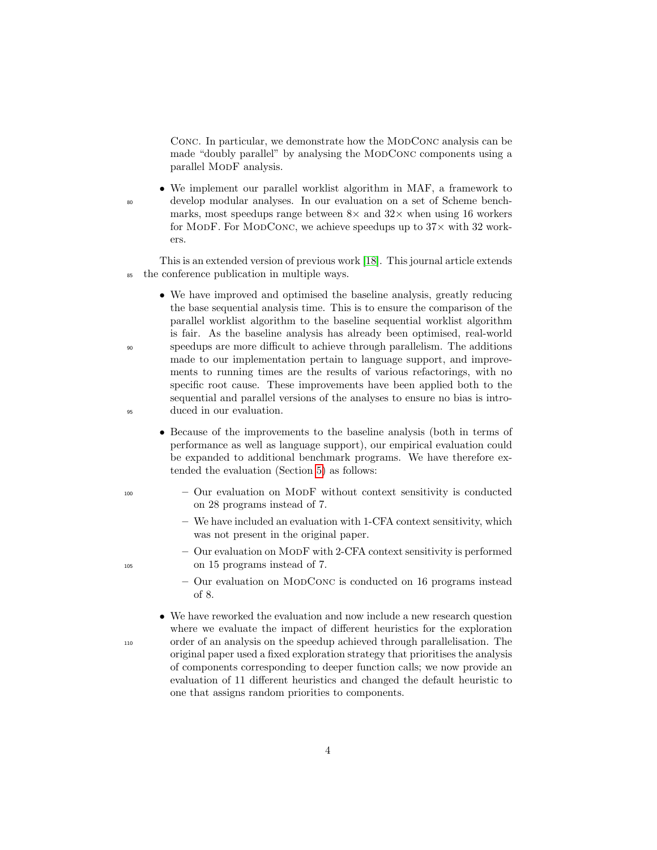CONC. In particular, we demonstrate how the MODCONC analysis can be made "doubly parallel" by analysing the MODCONC components using a parallel ModF analysis.

• We implement our parallel worklist algorithm in MAF, a framework to <sup>80</sup> develop modular analyses. In our evaluation on a set of Scheme benchmarks, most speedups range between  $8\times$  and  $32\times$  when using 16 workers for MODF. For MODCONC, we achieve speedups up to  $37\times$  with 32 workers.

This is an extended version of previous work [\[18\]](#page-39-0). This journal article extends <sup>85</sup> the conference publication in multiple ways.

- We have improved and optimised the baseline analysis, greatly reducing the base sequential analysis time. This is to ensure the comparison of the parallel worklist algorithm to the baseline sequential worklist algorithm is fair. As the baseline analysis has already been optimised, real-world <sup>90</sup> speedups are more difficult to achieve through parallelism. The additions made to our implementation pertain to language support, and improvements to running times are the results of various refactorings, with no specific root cause. These improvements have been applied both to the sequential and parallel versions of the analyses to ensure no bias is intro-<sup>95</sup> duced in our evaluation.
	- Because of the improvements to the baseline analysis (both in terms of performance as well as language support), our empirical evaluation could be expanded to additional benchmark programs. We have therefore extended the evaluation (Section [5\)](#page-22-0) as follows:
- <sup>100</sup> Our evaluation on ModF without context sensitivity is conducted on 28 programs instead of 7.
	- We have included an evaluation with 1-CFA context sensitivity, which was not present in the original paper.
- Our evaluation on ModF with 2-CFA context sensitivity is performed <sup>105</sup> on 15 programs instead of 7.
	- Our evaluation on ModConc is conducted on 16 programs instead of 8.
- We have reworked the evaluation and now include a new research question where we evaluate the impact of different heuristics for the exploration <sup>110</sup> order of an analysis on the speedup achieved through parallelisation. The original paper used a fixed exploration strategy that prioritises the analysis of components corresponding to deeper function calls; we now provide an evaluation of 11 different heuristics and changed the default heuristic to one that assigns random priorities to components.
-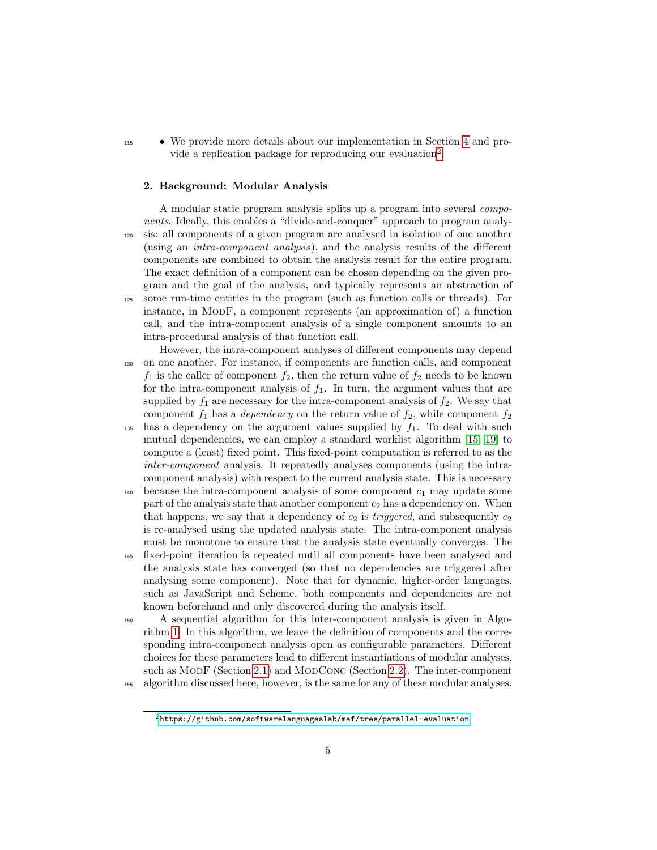<sup>115</sup> • We provide more details about our implementation in Section [4](#page-16-0) and pro-vide a replication package for reproducing our evaluation<sup>[2](#page-4-0)</sup>.

#### 2. Background: Modular Analysis

A modular static program analysis splits up a program into several components. Ideally, this enables a "divide-and-conquer" approach to program analy-<sup>120</sup> sis: all components of a given program are analysed in isolation of one another (using an intra-component analysis), and the analysis results of the different components are combined to obtain the analysis result for the entire program. The exact definition of a component can be chosen depending on the given program and the goal of the analysis, and typically represents an abstraction of <sup>125</sup> some run-time entities in the program (such as function calls or threads). For instance, in ModF, a component represents (an approximation of) a function call, and the intra-component analysis of a single component amounts to an intra-procedural analysis of that function call.

- However, the intra-component analyses of different components may depend <sup>130</sup> on one another. For instance, if components are function calls, and component  $f_1$  is the caller of component  $f_2$ , then the return value of  $f_2$  needs to be known for the intra-component analysis of  $f_1$ . In turn, the argument values that are supplied by  $f_1$  are necessary for the intra-component analysis of  $f_2$ . We say that component  $f_1$  has a *dependency* on the return value of  $f_2$ , while component  $f_2$
- 135 has a dependency on the argument values supplied by  $f_1$ . To deal with such mutual dependencies, we can employ a standard worklist algorithm [\[15,](#page-38-5) [19\]](#page-39-1) to compute a (least) fixed point. This fixed-point computation is referred to as the inter-component analysis. It repeatedly analyses components (using the intracomponent analysis) with respect to the current analysis state. This is necessary
- $_{140}$  because the intra-component analysis of some component  $c_1$  may update some part of the analysis state that another component  $c_2$  has a dependency on. When that happens, we say that a dependency of  $c_2$  is *triggered*, and subsequently  $c_2$ is re-analysed using the updated analysis state. The intra-component analysis must be monotone to ensure that the analysis state eventually converges. The
- <sup>145</sup> fixed-point iteration is repeated until all components have been analysed and the analysis state has converged (so that no dependencies are triggered after analysing some component). Note that for dynamic, higher-order languages, such as JavaScript and Scheme, both components and dependencies are not known beforehand and only discovered during the analysis itself.
- <sup>150</sup> A sequential algorithm for this inter-component analysis is given in Algorithm [1.](#page-5-0) In this algorithm, we leave the definition of components and the corresponding intra-component analysis open as configurable parameters. Different choices for these parameters lead to different instantiations of modular analyses, such as MODF (Section [2.1\)](#page-7-0) and MODCONC (Section [2.2\)](#page-8-0). The inter-component <sup>155</sup> algorithm discussed here, however, is the same for any of these modular analyses.

<span id="page-4-0"></span> $^2$ <https://github.com/softwarelanguageslab/maf/tree/parallel-evaluation>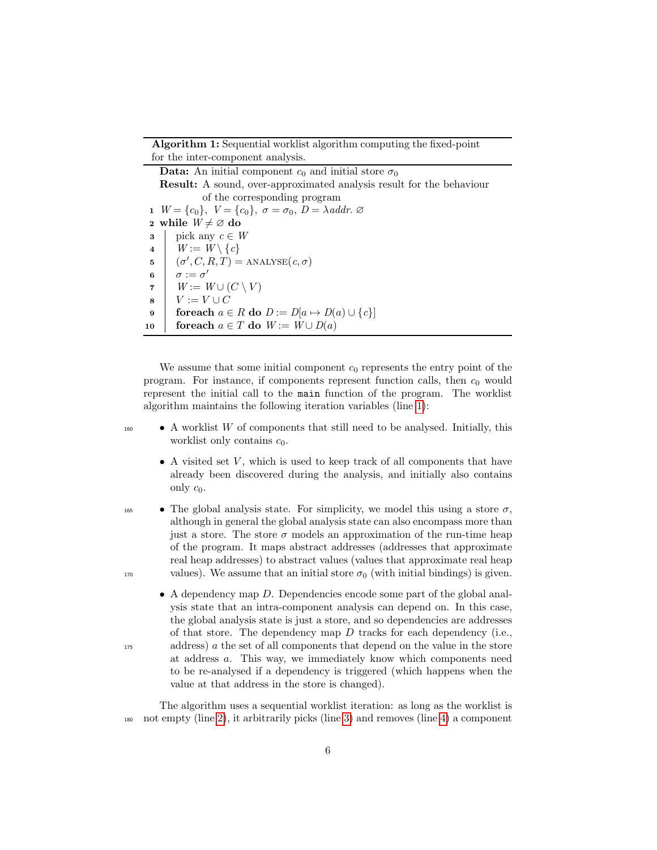Algorithm 1: Sequential worklist algorithm computing the fixed-point for the inter-component analysis.

<span id="page-5-5"></span><span id="page-5-4"></span><span id="page-5-3"></span><span id="page-5-2"></span><span id="page-5-1"></span>**Data:** An initial component  $c_0$  and initial store  $\sigma_0$ Result: A sound, over-approximated analysis result for the behaviour of the corresponding program 1  $W = \{c_0\}$ ,  $V = \{c_0\}$ ,  $\sigma = \sigma_0$ ,  $D = \lambda$ addr.  $\varnothing$ 2 while  $W \neq \emptyset$  do **3** pick any  $c \in W$ 4 |  $W := W \setminus \{c\}$ 5  $(\sigma', C, R, T) = \text{ANALYSE}(c, \sigma)$ 6  $\sigma := \sigma'$  $\tau \mid W := W \cup (C \setminus V)$  $\begin{array}{ccc} 8 & V := V \cup C \end{array}$ 9 foreach  $a \in R$  do  $D := D[a \mapsto D(a) \cup \{c\}]$ 10 for each  $a \in T$  do  $W := W \cup D(a)$ 

<span id="page-5-9"></span><span id="page-5-8"></span><span id="page-5-7"></span><span id="page-5-6"></span><span id="page-5-0"></span>We assume that some initial component  $c_0$  represents the entry point of the program. For instance, if components represent function calls, then  $c_0$  would represent the initial call to the main function of the program. The worklist algorithm maintains the following iteration variables (line [1\)](#page-5-1):

 $\bullet$  A worklist W of components that still need to be analysed. Initially, this worklist only contains  $c_0$ .

- A visited set  $V$ , which is used to keep track of all components that have already been discovered during the analysis, and initially also contains only  $c_0$ .
- **•** The global analysis state. For simplicity, we model this using a store  $\sigma$ , although in general the global analysis state can also encompass more than just a store. The store  $\sigma$  models an approximation of the run-time heap of the program. It maps abstract addresses (addresses that approximate real heap addresses) to abstract values (values that approximate real heap 170 values). We assume that an initial store  $\sigma_0$  (with initial bindings) is given.
- A dependency map D. Dependencies encode some part of the global analysis state that an intra-component analysis can depend on. In this case, the global analysis state is just a store, and so dependencies are addresses of that store. The dependency map  $D$  tracks for each dependency (i.e., <sup>175</sup> address) a the set of all components that depend on the value in the store at address a. This way, we immediately know which components need to be re-analysed if a dependency is triggered (which happens when the value at that address in the store is changed).

The algorithm uses a sequential worklist iteration: as long as the worklist is <sup>180</sup> not empty (line [2\)](#page-5-2), it arbitrarily picks (line [3\)](#page-5-3) and removes (line [4\)](#page-5-4) a component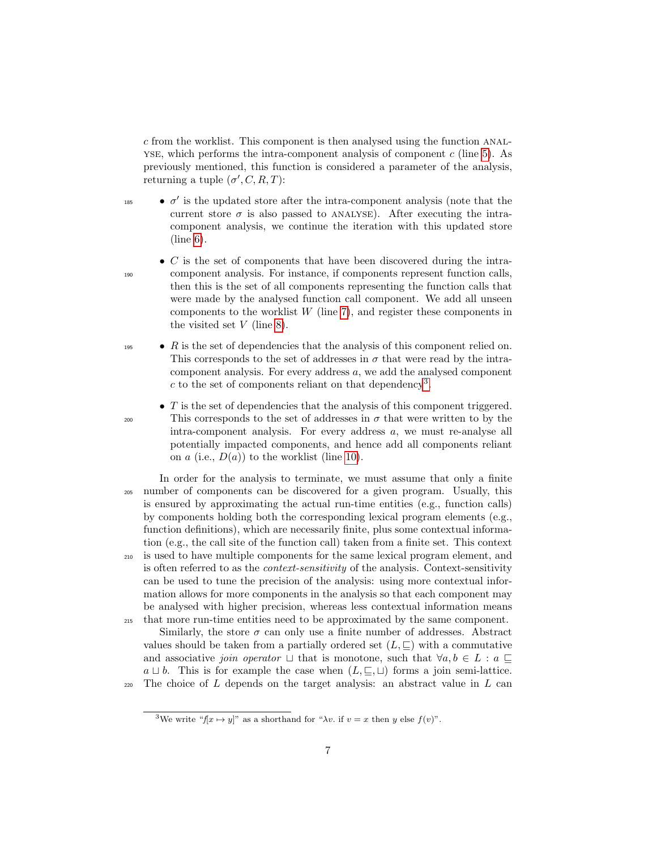c from the worklist. This component is then analysed using the function anal-YSE, which performs the intra-component analysis of component  $c$  (line [5\)](#page-5-5). As previously mentioned, this function is considered a parameter of the analysis, returning a tuple  $(\sigma', C, R, T)$ :

- 
- $\bullet$   $\sigma'$  is the updated store after the intra-component analysis (note that the current store  $\sigma$  is also passed to ANALYSE). After executing the intracomponent analysis, we continue the iteration with this updated store (line [6\)](#page-5-6).
- $\bullet$  C is the set of components that have been discovered during the intra-<sup>190</sup> component analysis. For instance, if components represent function calls, then this is the set of all components representing the function calls that were made by the analysed function call component. We add all unseen components to the worklist  $W$  (line [7\)](#page-5-7), and register these components in the visited set  $V$  (line [8\)](#page-5-8).
- $\bullet$  R is the set of dependencies that the analysis of this component relied on. This corresponds to the set of addresses in  $\sigma$  that were read by the intracomponent analysis. For every address a, we add the analysed component c to the set of components reliant on that dependency<sup>[3](#page-6-0)</sup>.
- $\bullet$  T is the set of dependencies that the analysis of this component triggered. <sup>200</sup> This corresponds to the set of addresses in  $\sigma$  that were written to by the intra-component analysis. For every address a, we must re-analyse all potentially impacted components, and hence add all components reliant on  $a$  (i.e.,  $D(a)$ ) to the worklist (line [10\)](#page-5-9).
- In order for the analysis to terminate, we must assume that only a finite <sup>205</sup> number of components can be discovered for a given program. Usually, this is ensured by approximating the actual run-time entities (e.g., function calls) by components holding both the corresponding lexical program elements (e.g., function definitions), which are necessarily finite, plus some contextual information (e.g., the call site of the function call) taken from a finite set. This context <sup>210</sup> is used to have multiple components for the same lexical program element, and is often referred to as the context-sensitivity of the analysis. Context-sensitivity can be used to tune the precision of the analysis: using more contextual information allows for more components in the analysis so that each component may be analysed with higher precision, whereas less contextual information means <sup>215</sup> that more run-time entities need to be approximated by the same component.

Similarly, the store  $\sigma$  can only use a finite number of addresses. Abstract values should be taken from a partially ordered set  $(L, \square)$  with a commutative and associative join operator  $\sqcup$  that is monotone, such that  $\forall a, b \in L : a \sqsubset$  $a \sqcup b$ . This is for example the case when  $(L, \subseteq, \sqcup)$  forms a join semi-lattice.  $220$  The choice of L depends on the target analysis: an abstract value in L can

<span id="page-6-0"></span><sup>&</sup>lt;sup>3</sup>We write " $f[x \mapsto y]$ " as a shorthand for " $\lambda v$ . if  $v = x$  then y else  $f(v)$ ".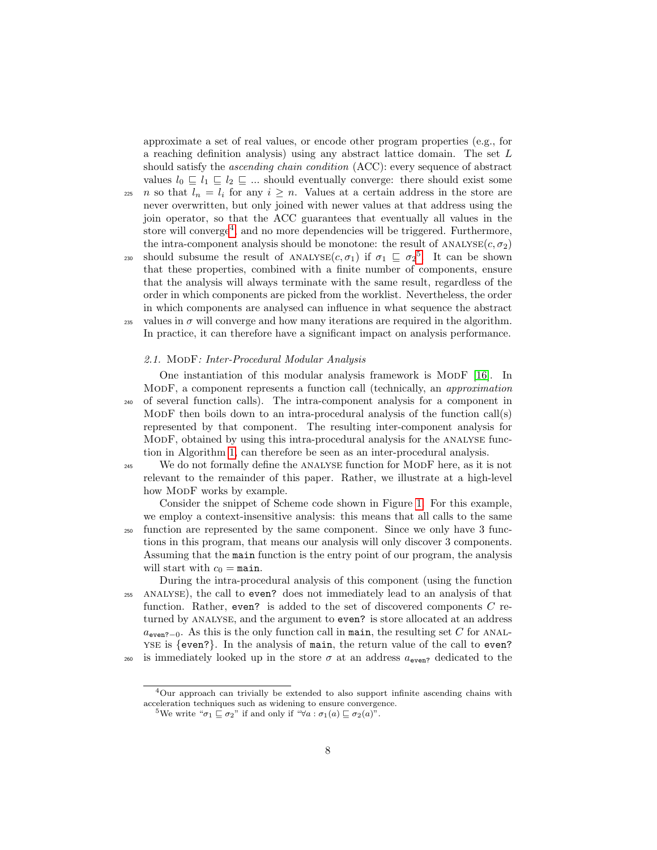approximate a set of real values, or encode other program properties (e.g., for a reaching definition analysis) using any abstract lattice domain. The set L should satisfy the ascending chain condition (ACC): every sequence of abstract values  $l_0 \subseteq l_1 \subseteq l_2 \subseteq ...$  should eventually converge: there should exist some 225 *n* so that  $l_n = l_i$  for any  $i \geq n$ . Values at a certain address in the store are never overwritten, but only joined with newer values at that address using the join operator, so that the ACC guarantees that eventually all values in the store will converge<sup>[4](#page-7-1)</sup>, and no more dependencies will be triggered. Furthermore, the intra-component analysis should be monotone: the result of  $ANALYSE(c, \sigma_2)$ 230 should subsume the result of ANALYSE $(c, \sigma_1)$  if  $\sigma_1 \subseteq \sigma_2^5$  $\sigma_1 \subseteq \sigma_2^5$ . It can be shown that these properties, combined with a finite number of components, ensure that the analysis will always terminate with the same result, regardless of the order in which components are picked from the worklist. Nevertheless, the order in which components are analysed can influence in what sequence the abstract 235 values in  $\sigma$  will converge and how many iterations are required in the algorithm. In practice, it can therefore have a significant impact on analysis performance.

### <span id="page-7-0"></span>2.1. MODF: Inter-Procedural Modular Analysis

One instantiation of this modular analysis framework is MODF [\[16\]](#page-38-6). In ModF, a component represents a function call (technically, an approximation <sup>240</sup> of several function calls). The intra-component analysis for a component in MODF then boils down to an intra-procedural analysis of the function  $call(s)$ represented by that component. The resulting inter-component analysis for ModF, obtained by using this intra-procedural analysis for the analyse function in Algorithm [1,](#page-5-0) can therefore be seen as an inter-procedural analysis.

<sup>245</sup> We do not formally define the ANALYSE function for MODF here, as it is not relevant to the remainder of this paper. Rather, we illustrate at a high-level how MODF works by example.

Consider the snippet of Scheme code shown in Figure [1.](#page-8-1) For this example, we employ a context-insensitive analysis: this means that all calls to the same

<sup>250</sup> function are represented by the same component. Since we only have 3 functions in this program, that means our analysis will only discover 3 components. Assuming that the main function is the entry point of our program, the analysis will start with  $c_0 = \text{main}$ .

During the intra-procedural analysis of this component (using the function <sup>255</sup> analyse), the call to even? does not immediately lead to an analysis of that function. Rather, even? is added to the set of discovered components  $C$  returned by ANALYSE, and the argument to even? is store allocated at an address  $a_{\rm even?-0}$ . As this is the only function call in main, the resulting set C for ANALyse is {even?}. In the analysis of main, the return value of the call to even? <sup>260</sup> is immediately looked up in the store  $\sigma$  at an address  $a_{\text{even}}$  dedicated to the

<span id="page-7-1"></span><sup>4</sup>Our approach can trivially be extended to also support infinite ascending chains with acceleration techniques such as widening to ensure convergence.

<span id="page-7-2"></span><sup>&</sup>lt;sup>5</sup>We write " $\sigma_1 \sqsubseteq \sigma_2$ " if and only if " $\forall a : \sigma_1(a) \sqsubseteq \sigma_2(a)$ ".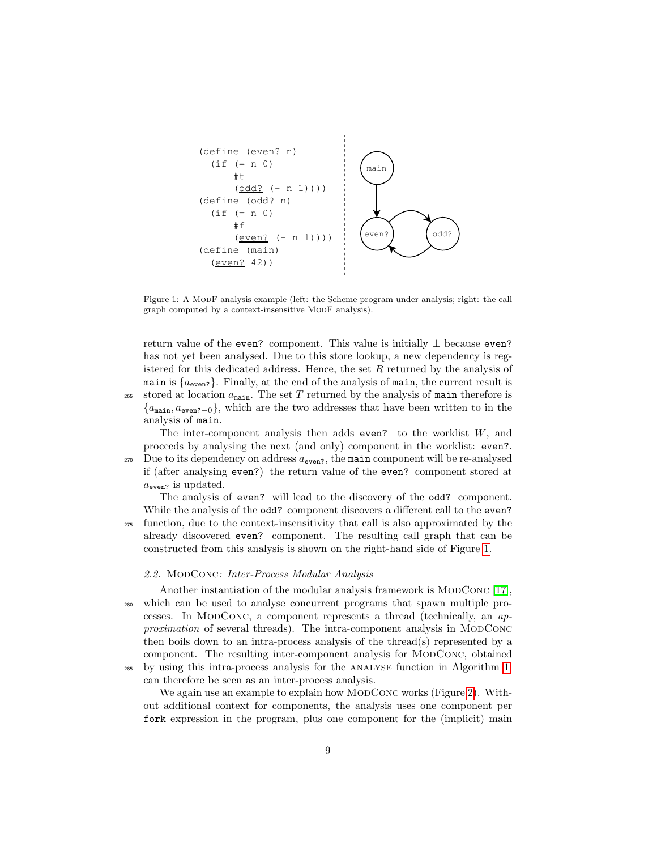

<span id="page-8-1"></span>Figure 1: A MoDF analysis example (left: the Scheme program under analysis; right: the call graph computed by a context-insensitive MODF analysis).

return value of the even? component. This value is initially  $\perp$  because even? has not yet been analysed. Due to this store lookup, a new dependency is registered for this dedicated address. Hence, the set  $R$  returned by the analysis of main is  $\{a_{\text{even}}\}$ . Finally, at the end of the analysis of main, the current result is stored at location  $a_{\text{main}}$ . The set T returned by the analysis of main therefore is  ${a_{\text{main}, a_{\text{even}2}-0}}$ , which are the two addresses that have been written to in the analysis of main.

The inter-component analysis then adds even? to the worklist  $W$ , and proceeds by analysing the next (and only) component in the worklist: even?.  $270$  Due to its dependency on address  $a_{\text{even}}$ , the main component will be re-analysed if (after analysing even?) the return value of the even? component stored at  $a_{\rm even}$  is updated.

The analysis of even? will lead to the discovery of the odd? component. While the analysis of the **odd?** component discovers a different call to the **even?** <sup>275</sup> function, due to the context-insensitivity that call is also approximated by the already discovered even? component. The resulting call graph that can be constructed from this analysis is shown on the right-hand side of Figure [1.](#page-8-1)

#### <span id="page-8-0"></span>2.2. MODCONC: Inter-Process Modular Analysis

Another instantiation of the modular analysis framework is  $MODCONC$  [\[17\]](#page-38-7), <sup>280</sup> which can be used to analyse concurrent programs that spawn multiple processes. In MODCONC, a component represents a thread (technically, an approximation of several threads). The intra-component analysis in MODCONC then boils down to an intra-process analysis of the thread(s) represented by a component. The resulting inter-component analysis for MODCONC, obtained by using this intra-process analysis for the ANALYSE function in Algorithm [1,](#page-5-0)

can therefore be seen as an inter-process analysis.

We again use an example to explain how MODCONC works (Figure [2\)](#page-9-0). Without additional context for components, the analysis uses one component per fork expression in the program, plus one component for the (implicit) main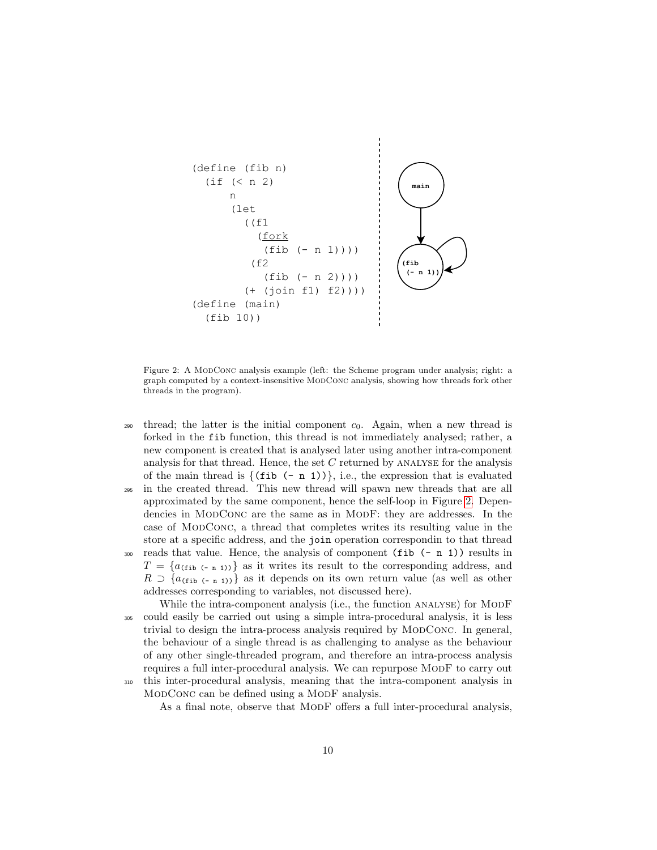

<span id="page-9-0"></span>Figure 2: A MODCONC analysis example (left: the Scheme program under analysis; right: a graph computed by a context-insensitive ModConc analysis, showing how threads fork other threads in the program).

- 290 thread; the latter is the initial component  $c_0$ . Again, when a new thread is forked in the fib function, this thread is not immediately analysed; rather, a new component is created that is analysed later using another intra-component analysis for that thread. Hence, the set  $C$  returned by ANALYSE for the analysis of the main thread is  $\{(\text{fib }(-n 1))\}, \text{ i.e., the expression that is evaluated}$
- <sup>295</sup> in the created thread. This new thread will spawn new threads that are all approximated by the same component, hence the self-loop in Figure [2.](#page-9-0) Dependencies in MODCONC are the same as in MODF: they are addresses. In the case of ModConc, a thread that completes writes its resulting value in the store at a specific address, and the join operation correspondin to that thread
- $300$  reads that value. Hence, the analysis of component (fib  $(-n 1)$ ) results in  $T = \{a_{(\text{fib }(-n-1))}\}\$ as it writes its result to the corresponding address, and  $R \supset \{a_{(\text{fib }(-n-1))}\}\$ as it depends on its own return value (as well as other addresses corresponding to variables, not discussed here).

While the intra-component analysis (i.e., the function ANALYSE) for MODF <sup>305</sup> could easily be carried out using a simple intra-procedural analysis, it is less trivial to design the intra-process analysis required by MODCONC. In general, the behaviour of a single thread is as challenging to analyse as the behaviour of any other single-threaded program, and therefore an intra-process analysis requires a full inter-procedural analysis. We can repurpose MODF to carry out <sup>310</sup> this inter-procedural analysis, meaning that the intra-component analysis in MODCONC can be defined using a MODF analysis.

As a final note, observe that MODF offers a full inter-procedural analysis,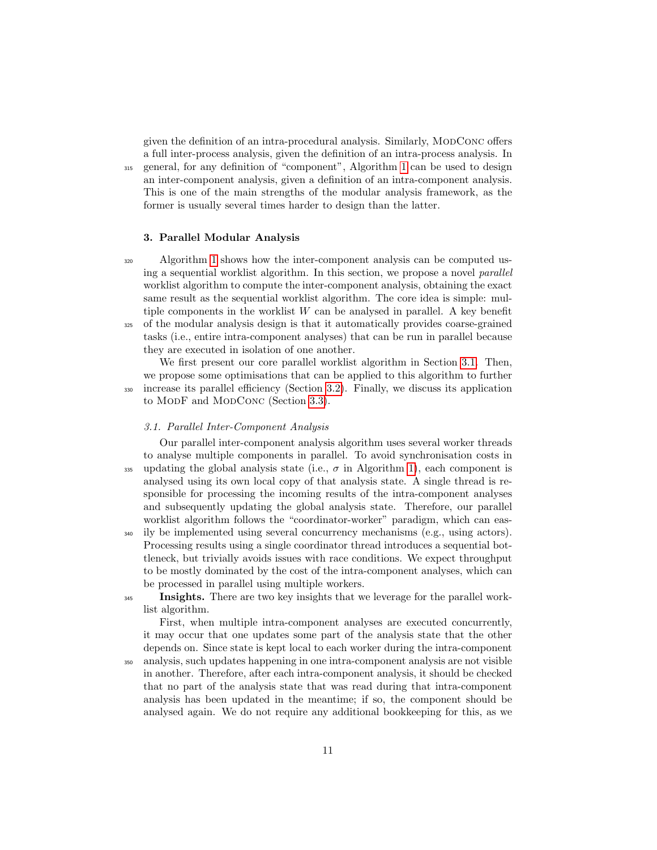given the definition of an intra-procedural analysis. Similarly, MODCONC offers a full inter-process analysis, given the definition of an intra-process analysis. In <sup>315</sup> general, for any definition of "component", Algorithm [1](#page-5-0) can be used to design an inter-component analysis, given a definition of an intra-component analysis. This is one of the main strengths of the modular analysis framework, as the former is usually several times harder to design than the latter.

#### 3. Parallel Modular Analysis

<sup>320</sup> Algorithm [1](#page-5-0) shows how the inter-component analysis can be computed using a sequential worklist algorithm. In this section, we propose a novel parallel worklist algorithm to compute the inter-component analysis, obtaining the exact same result as the sequential worklist algorithm. The core idea is simple: multiple components in the worklist  $W$  can be analysed in parallel. A key benefit <sup>325</sup> of the modular analysis design is that it automatically provides coarse-grained tasks (i.e., entire intra-component analyses) that can be run in parallel because they are executed in isolation of one another.

We first present our core parallel worklist algorithm in Section [3.1.](#page-10-0) Then, we propose some optimisations that can be applied to this algorithm to further <sup>330</sup> increase its parallel efficiency (Section [3.2\)](#page-13-0). Finally, we discuss its application to MODF and MODCONC (Section [3.3\)](#page-14-0).

# <span id="page-10-0"></span>3.1. Parallel Inter-Component Analysis

Our parallel inter-component analysis algorithm uses several worker threads to analyse multiple components in parallel. To avoid synchronisation costs in 335 updating the global analysis state (i.e.,  $\sigma$  in Algorithm [1\)](#page-5-0), each component is analysed using its own local copy of that analysis state. A single thread is responsible for processing the incoming results of the intra-component analyses and subsequently updating the global analysis state. Therefore, our parallel worklist algorithm follows the "coordinator-worker" paradigm, which can eas-

<sup>340</sup> ily be implemented using several concurrency mechanisms (e.g., using actors). Processing results using a single coordinator thread introduces a sequential bottleneck, but trivially avoids issues with race conditions. We expect throughput to be mostly dominated by the cost of the intra-component analyses, which can be processed in parallel using multiple workers.

**Insights.** There are two key insights that we leverage for the parallel worklist algorithm.

First, when multiple intra-component analyses are executed concurrently, it may occur that one updates some part of the analysis state that the other depends on. Since state is kept local to each worker during the intra-component

<sup>350</sup> analysis, such updates happening in one intra-component analysis are not visible in another. Therefore, after each intra-component analysis, it should be checked that no part of the analysis state that was read during that intra-component analysis has been updated in the meantime; if so, the component should be analysed again. We do not require any additional bookkeeping for this, as we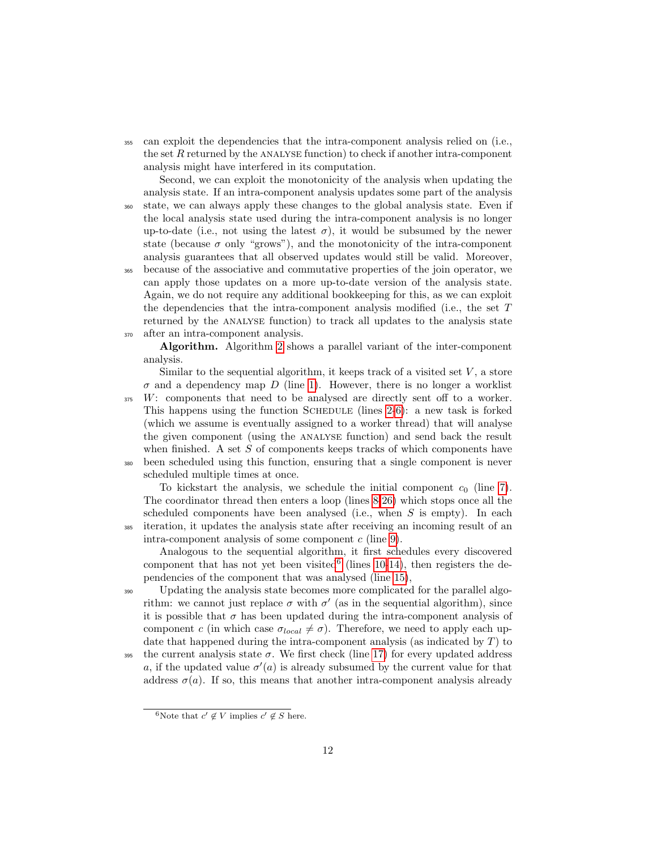<sup>355</sup> can exploit the dependencies that the intra-component analysis relied on (i.e., the set  $R$  returned by the ANALYSE function) to check if another intra-component analysis might have interfered in its computation.

Second, we can exploit the monotonicity of the analysis when updating the analysis state. If an intra-component analysis updates some part of the analysis <sup>360</sup> state, we can always apply these changes to the global analysis state. Even if the local analysis state used during the intra-component analysis is no longer up-to-date (i.e., not using the latest  $\sigma$ ), it would be subsumed by the newer state (because  $\sigma$  only "grows"), and the monotonicity of the intra-component analysis guarantees that all observed updates would still be valid. Moreover, <sup>365</sup> because of the associative and commutative properties of the join operator, we can apply those updates on a more up-to-date version of the analysis state. Again, we do not require any additional bookkeeping for this, as we can exploit the dependencies that the intra-component analysis modified (i.e., the set T returned by the ANALYSE function) to track all updates to the analysis state <sup>370</sup> after an intra-component analysis.

Algorithm. Algorithm [2](#page-12-0) shows a parallel variant of the inter-component analysis.

Similar to the sequential algorithm, it keeps track of a visited set  $V$ , a store  $\sigma$  and a dependency map D (line [1\)](#page-12-1). However, there is no longer a worklist <sup>375</sup> W: components that need to be analysed are directly sent off to a worker. This happens using the function SCHEDULE (lines  $2-6$ ): a new task is forked (which we assume is eventually assigned to a worker thread) that will analyse the given component (using the analyse function) and send back the result when finished. A set  $S$  of components keeps tracks of which components have <sup>380</sup> been scheduled using this function, ensuring that a single component is never scheduled multiple times at once.

To kickstart the analysis, we schedule the initial component  $c_0$  (line [7\)](#page-12-4). The coordinator thread then enters a loop (lines [8-](#page-12-5)[26\)](#page-12-6) which stops once all the scheduled components have been analysed (i.e., when  $S$  is empty). In each <sup>385</sup> iteration, it updates the analysis state after receiving an incoming result of an intra-component analysis of some component  $c$  (line [9\)](#page-12-7).

Analogous to the sequential algorithm, it first schedules every discovered component that has not yet been visited  $(lines 10-14)$  $(lines 10-14)$  $(lines 10-14)$ , then registers the dependencies of the component that was analysed (line [15\)](#page-12-10),

<sup>390</sup> Updating the analysis state becomes more complicated for the parallel algorithm: we cannot just replace  $\sigma$  with  $\sigma'$  (as in the sequential algorithm), since it is possible that  $\sigma$  has been updated during the intra-component analysis of component c (in which case  $\sigma_{local} \neq \sigma$ ). Therefore, we need to apply each update that happened during the intra-component analysis (as indicated by  $T$ ) to

395 the current analysis state  $\sigma$ . We first check (line [17\)](#page-12-11) for every updated address a, if the updated value  $\sigma'(a)$  is already subsumed by the current value for that address  $\sigma(a)$ . If so, this means that another intra-component analysis already

<span id="page-11-0"></span><sup>&</sup>lt;sup>6</sup>Note that  $c' \notin V$  implies  $c' \notin S$  here.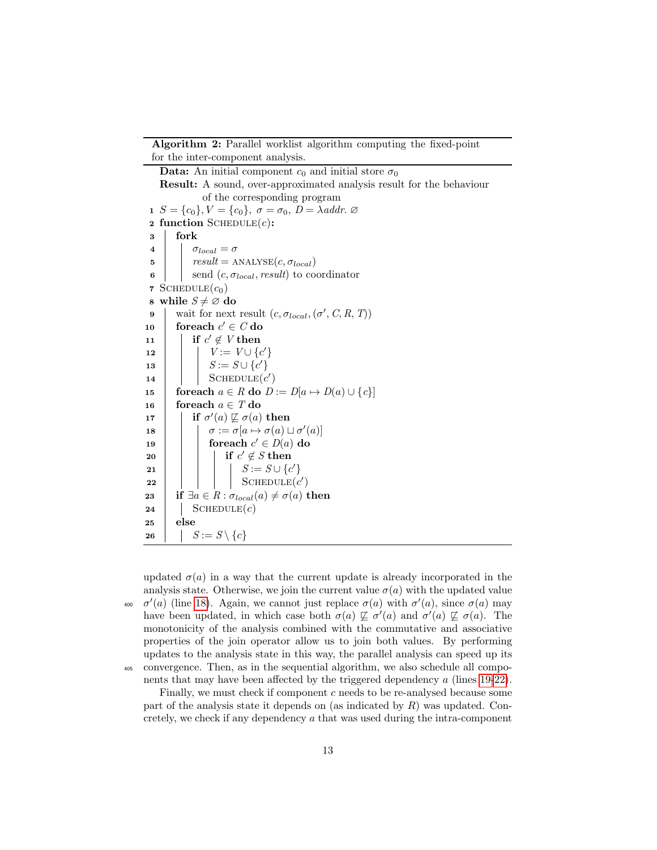Algorithm 2: Parallel worklist algorithm computing the fixed-point for the inter-component analysis.

<span id="page-12-18"></span><span id="page-12-17"></span><span id="page-12-9"></span><span id="page-12-8"></span><span id="page-12-7"></span><span id="page-12-5"></span><span id="page-12-4"></span><span id="page-12-3"></span><span id="page-12-2"></span><span id="page-12-1"></span>**Data:** An initial component  $c_0$  and initial store  $\sigma_0$ Result: A sound, over-approximated analysis result for the behaviour of the corresponding program 1  $S = \{c_0\}$ ,  $V = \{c_0\}$ ,  $\sigma = \sigma_0$ ,  $D = \lambda$ addr.  $\varnothing$ 2 function SCHEDULE $(c)$ : 3 fork 4 |  $\sigma_{local} = \sigma$ 5 |  $result = \text{ANALYSE}(c, \sigma_{local})$ 6 send  $(c, \sigma_{local}, result)$  to coordinator 7 SCHEDULE $(c_0)$ 8 while  $S \neq \emptyset$  do 9 | wait for next result  $(c, \sigma_{local}, (\sigma', C, R, T))$  $\texttt{10} \quad | \quad \textbf{foreach} \; c' \in C \, \textbf{do}$ 11 | if  $c' \notin V$  then 12  $| \cdot | \cdot V := V \cup \{c'\}$ 13  $\vert \vert$   $S := S \cup \{c'\}$ 14 | SCHEDULE $(c')$ 15 foreach  $a \in R$  do  $D := D[a \mapsto D(a) \cup \{c\}]$ 16 foreach  $a \in T$  do 17 **if**  $\sigma'(a) \not\sqsubseteq \sigma(a)$  then 18  $\Box$   $\sigma := \sigma[a \mapsto \sigma(a) \sqcup \sigma'(a)]$ 19 | coreach  $c' \in D(a)$  do  $\textsf{20} \quad | \quad | \quad | \quad \textsf{if} \; c' \not\in S \; \textsf{then}$  $\begin{array}{|c|c|c|c|c|}\hline \textbf{21} & & & \end{array} \begin{array}{|c|c|c|c|c|}\hline \rule{0pt}{12pt} & & \end{array} \begin{array}{|c|c|c|c|c|c|c|c|c|}\hline \rule{0pt}{12pt} & & \end{array} S := S \cup \{c'\}$ 22 | | | |  $\operatorname{SCHEDULE}(c')$ 23 if  $\exists a \in R : \sigma_{local}(a) \neq \sigma(a)$  then 24 |  $\operatorname{SCHEDULE}(c)$ 25 else 26 |  $S := S \setminus \{c\}$ 

<span id="page-12-16"></span><span id="page-12-15"></span><span id="page-12-14"></span><span id="page-12-13"></span><span id="page-12-12"></span><span id="page-12-11"></span><span id="page-12-10"></span><span id="page-12-6"></span><span id="page-12-0"></span>updated  $\sigma(a)$  in a way that the current update is already incorporated in the analysis state. Otherwise, we join the current value  $\sigma(a)$  with the updated value <sup>400</sup>  $\sigma'(a)$  (line [18\)](#page-12-12). Again, we cannot just replace  $\sigma(a)$  with  $\sigma'(a)$ , since  $\sigma(a)$  may have been updated, in which case both  $\sigma(a) \not\sqsubseteq \sigma'(a)$  and  $\sigma'(a) \not\sqsubseteq \sigma(a)$ . The monotonicity of the analysis combined with the commutative and associative properties of the join operator allow us to join both values. By performing updates to the analysis state in this way, the parallel analysis can speed up its <sup>405</sup> convergence. Then, as in the sequential algorithm, we also schedule all components that may have been affected by the triggered dependency a (lines [19-](#page-12-13)[22\)](#page-12-14).

Finally, we must check if component c needs to be re-analysed because some part of the analysis state it depends on (as indicated by  $R$ ) was updated. Concretely, we check if any dependency a that was used during the intra-component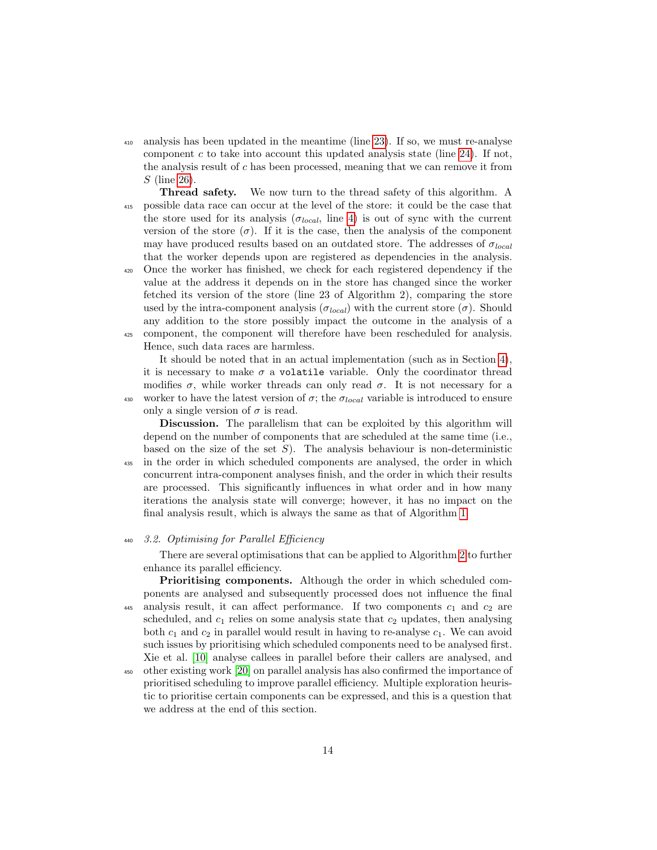- <sup>410</sup> analysis has been updated in the meantime (line [23\)](#page-12-15). If so, we must re-analyse component  $c$  to take into account this updated analysis state (line [24\)](#page-12-16). If not, the analysis result of  $c$  has been processed, meaning that we can remove it from S (line [26\)](#page-12-6).
- Thread safety. We now turn to the thread safety of this algorithm. A <sup>415</sup> possible data race can occur at the level of the store: it could be the case that the store used for its analysis ( $\sigma_{local}$ , line [4\)](#page-12-17) is out of sync with the current version of the store  $(\sigma)$ . If it is the case, then the analysis of the component may have produced results based on an outdated store. The addresses of  $\sigma_{local}$ that the worker depends upon are registered as dependencies in the analysis.
- <sup>420</sup> Once the worker has finished, we check for each registered dependency if the value at the address it depends on in the store has changed since the worker fetched its version of the store (line 23 of Algorithm 2), comparing the store used by the intra-component analysis ( $\sigma_{local}$ ) with the current store ( $\sigma$ ). Should any addition to the store possibly impact the outcome in the analysis of a <sup>425</sup> component, the component will therefore have been rescheduled for analysis. Hence, such data races are harmless.

It should be noted that in an actual implementation (such as in Section [4\)](#page-16-0), it is necessary to make  $\sigma$  a volatile variable. Only the coordinator thread modifies  $\sigma$ , while worker threads can only read  $\sigma$ . It is not necessary for a 430 worker to have the latest version of  $\sigma$ ; the  $\sigma_{local}$  variable is introduced to ensure only a single version of  $\sigma$  is read.

Discussion. The parallelism that can be exploited by this algorithm will depend on the number of components that are scheduled at the same time (i.e., based on the size of the set  $S$ ). The analysis behaviour is non-deterministic <sup>435</sup> in the order in which scheduled components are analysed, the order in which concurrent intra-component analyses finish, and the order in which their results are processed. This significantly influences in what order and in how many iterations the analysis state will converge; however, it has no impact on the final analysis result, which is always the same as that of Algorithm [1.](#page-5-0)

## <sup>440</sup> 3.2. Optimising for Parallel Efficiency

<span id="page-13-0"></span>There are several optimisations that can be applied to Algorithm [2](#page-12-0) to further enhance its parallel efficiency.

Prioritising components. Although the order in which scheduled components are analysed and subsequently processed does not influence the final 445 analysis result, it can affect performance. If two components  $c_1$  and  $c_2$  are scheduled, and  $c_1$  relies on some analysis state that  $c_2$  updates, then analysing both  $c_1$  and  $c_2$  in parallel would result in having to re-analyse  $c_1$ . We can avoid such issues by prioritising which scheduled components need to be analysed first. Xie et al. [\[10\]](#page-38-0) analyse callees in parallel before their callers are analysed, and

<sup>450</sup> other existing work [\[20\]](#page-39-2) on parallel analysis has also confirmed the importance of prioritised scheduling to improve parallel efficiency. Multiple exploration heuristic to prioritise certain components can be expressed, and this is a question that we address at the end of this section.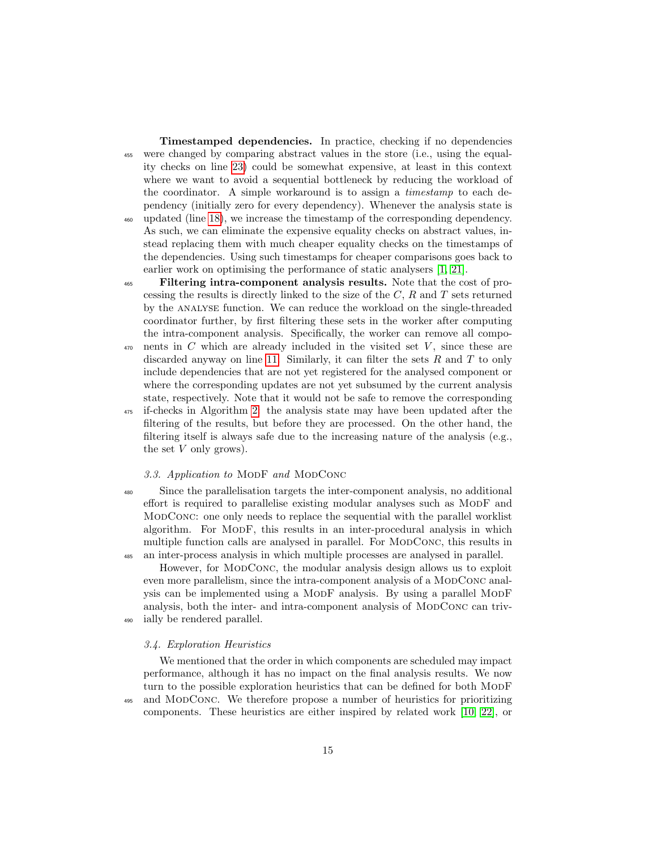Timestamped dependencies. In practice, checking if no dependencies <sup>455</sup> were changed by comparing abstract values in the store (i.e., using the equality checks on line [23\)](#page-12-15) could be somewhat expensive, at least in this context where we want to avoid a sequential bottleneck by reducing the workload of the coordinator. A simple workaround is to assign a timestamp to each dependency (initially zero for every dependency). Whenever the analysis state is <sup>460</sup> updated (line [18\)](#page-12-12), we increase the timestamp of the corresponding dependency. As such, we can eliminate the expensive equality checks on abstract values, instead replacing them with much cheaper equality checks on the timestamps of the dependencies. Using such timestamps for cheaper comparisons goes back to earlier work on optimising the performance of static analysers [\[1,](#page-36-0) [21\]](#page-39-3).

<sup>465</sup> Filtering intra-component analysis results. Note that the cost of processing the results is directly linked to the size of the  $C, R$  and  $T$  sets returned by the analyse function. We can reduce the workload on the single-threaded coordinator further, by first filtering these sets in the worker after computing the intra-component analysis. Specifically, the worker can remove all compo-

- $470$  nents in C which are already included in the visited set V, since these are discarded anyway on line [11.](#page-12-18) Similarly, it can filter the sets  $R$  and  $T$  to only include dependencies that are not yet registered for the analysed component or where the corresponding updates are not yet subsumed by the current analysis state, respectively. Note that it would not be safe to remove the corresponding
- <sup>475</sup> if-checks in Algorithm [2:](#page-12-0) the analysis state may have been updated after the filtering of the results, but before they are processed. On the other hand, the filtering itself is always safe due to the increasing nature of the analysis (e.g., the set  $V$  only grows).

#### <span id="page-14-0"></span>3.3. Application to MODF and MODCONC

<sup>480</sup> Since the parallelisation targets the inter-component analysis, no additional effort is required to parallelise existing modular analyses such as ModF and ModConc: one only needs to replace the sequential with the parallel worklist algorithm. For ModF, this results in an inter-procedural analysis in which multiple function calls are analysed in parallel. For MODCONC, this results in <sup>485</sup> an inter-process analysis in which multiple processes are analysed in parallel.

However, for ModConc, the modular analysis design allows us to exploit even more parallelism, since the intra-component analysis of a MODCONC analysis can be implemented using a ModF analysis. By using a parallel ModF analysis, both the inter- and intra-component analysis of ModConc can triv-<sup>490</sup> ially be rendered parallel.

<span id="page-14-1"></span>3.4. Exploration Heuristics

We mentioned that the order in which components are scheduled may impact performance, although it has no impact on the final analysis results. We now turn to the possible exploration heuristics that can be defined for both MODF <sup>495</sup> and ModConc. We therefore propose a number of heuristics for prioritizing components. These heuristics are either inspired by related work [\[10,](#page-38-0) [22\]](#page-39-4), or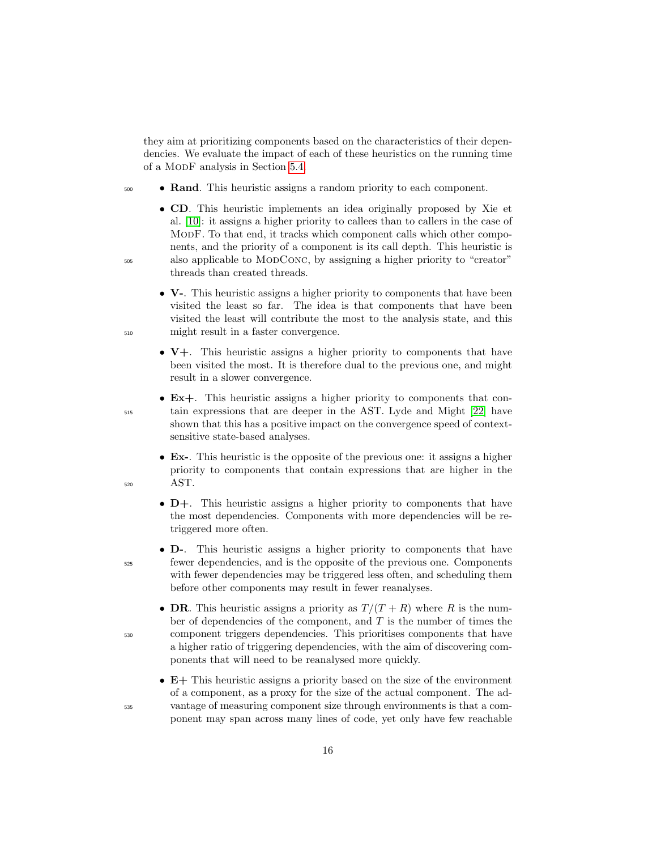they aim at prioritizing components based on the characteristics of their dependencies. We evaluate the impact of each of these heuristics on the running time of a ModF analysis in Section [5.4.](#page-31-0)

- <sup>500</sup> Rand. This heuristic assigns a random priority to each component.
- CD. This heuristic implements an idea originally proposed by Xie et al. [\[10\]](#page-38-0): it assigns a higher priority to callees than to callers in the case of ModF. To that end, it tracks which component calls which other components, and the priority of a component is its call depth. This heuristic is <sup>505</sup> also applicable to ModConc, by assigning a higher priority to "creator" threads than created threads.
- V-. This heuristic assigns a higher priority to components that have been visited the least so far. The idea is that components that have been visited the least will contribute the most to the analysis state, and this <sup>510</sup> might result in a faster convergence.
	- V+. This heuristic assigns a higher priority to components that have been visited the most. It is therefore dual to the previous one, and might result in a slower convergence.
- Ex+. This heuristic assigns a higher priority to components that con-<sup>515</sup> tain expressions that are deeper in the AST. Lyde and Might [\[22\]](#page-39-4) have shown that this has a positive impact on the convergence speed of contextsensitive state-based analyses.
- Ex-. This heuristic is the opposite of the previous one: it assigns a higher priority to components that contain expressions that are higher in the <sup>520</sup> AST.
	- D+. This heuristic assigns a higher priority to components that have the most dependencies. Components with more dependencies will be retriggered more often.
- D-. This heuristic assigns a higher priority to components that have <sup>525</sup> fewer dependencies, and is the opposite of the previous one. Components with fewer dependencies may be triggered less often, and scheduling them before other components may result in fewer reanalyses.
- DR. This heuristic assigns a priority as  $T/(T+R)$  where R is the number of dependencies of the component, and  $T$  is the number of times the <sup>530</sup> component triggers dependencies. This prioritises components that have a higher ratio of triggering dependencies, with the aim of discovering components that will need to be reanalysed more quickly.
- E+ This heuristic assigns a priority based on the size of the environment of a component, as a proxy for the size of the actual component. The ad-<sup>535</sup> vantage of measuring component size through environments is that a component may span across many lines of code, yet only have few reachable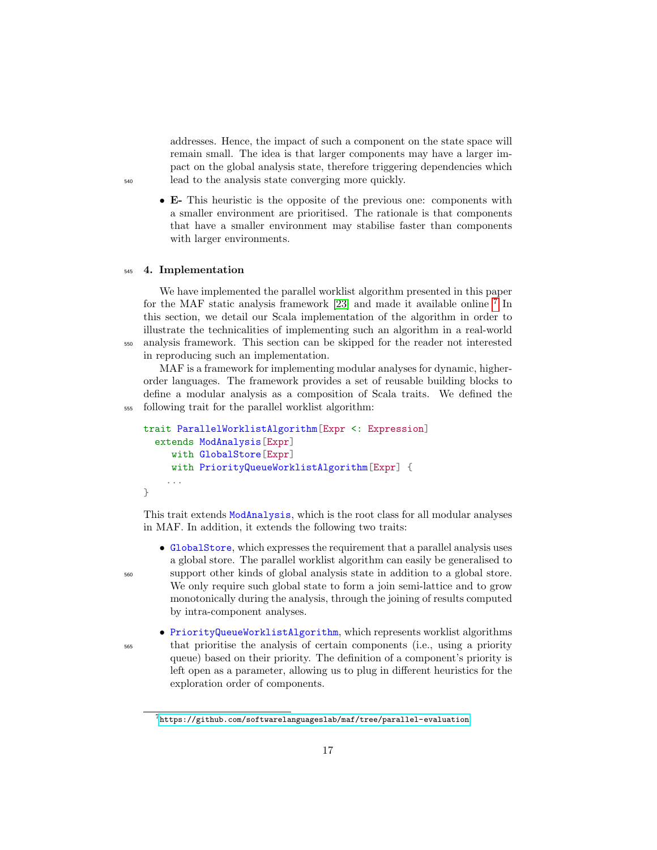addresses. Hence, the impact of such a component on the state space will remain small. The idea is that larger components may have a larger impact on the global analysis state, therefore triggering dependencies which <sup>540</sup> lead to the analysis state converging more quickly.

• E- This heuristic is the opposite of the previous one: components with a smaller environment are prioritised. The rationale is that components that have a smaller environment may stabilise faster than components with larger environments.

#### <span id="page-16-0"></span><sup>545</sup> 4. Implementation

We have implemented the parallel worklist algorithm presented in this paper for the MAF static analysis framework [\[23\]](#page-39-5) and made it available online  $7$  In this section, we detail our Scala implementation of the algorithm in order to illustrate the technicalities of implementing such an algorithm in a real-world <sup>550</sup> analysis framework. This section can be skipped for the reader not interested in reproducing such an implementation.

MAF is a framework for implementing modular analyses for dynamic, higherorder languages. The framework provides a set of reusable building blocks to define a modular analysis as a composition of Scala traits. We defined the <sup>555</sup> following trait for the parallel worklist algorithm:

```
trait ParallelWorklistAlgorithm[Expr <: Expression]
  extends ModAnalysis[Expr]
     with GlobalStore[Expr]
     with PriorityQueueWorklistAlgorithm[Expr] {
    ...
}
```
This trait extends ModAnalysis, which is the root class for all modular analyses in MAF. In addition, it extends the following two traits:

- GlobalStore, which expresses the requirement that a parallel analysis uses a global store. The parallel worklist algorithm can easily be generalised to <sup>560</sup> support other kinds of global analysis state in addition to a global store. We only require such global state to form a join semi-lattice and to grow monotonically during the analysis, through the joining of results computed by intra-component analyses.
- PriorityQueueWorklistAlgorithm, which represents worklist algorithms <sup>565</sup> that prioritise the analysis of certain components (i.e., using a priority queue) based on their priority. The definition of a component's priority is left open as a parameter, allowing us to plug in different heuristics for the exploration order of components.

<span id="page-16-1"></span> $^{7}$ <https://github.com/softwarelanguageslab/maf/tree/parallel-evaluation>.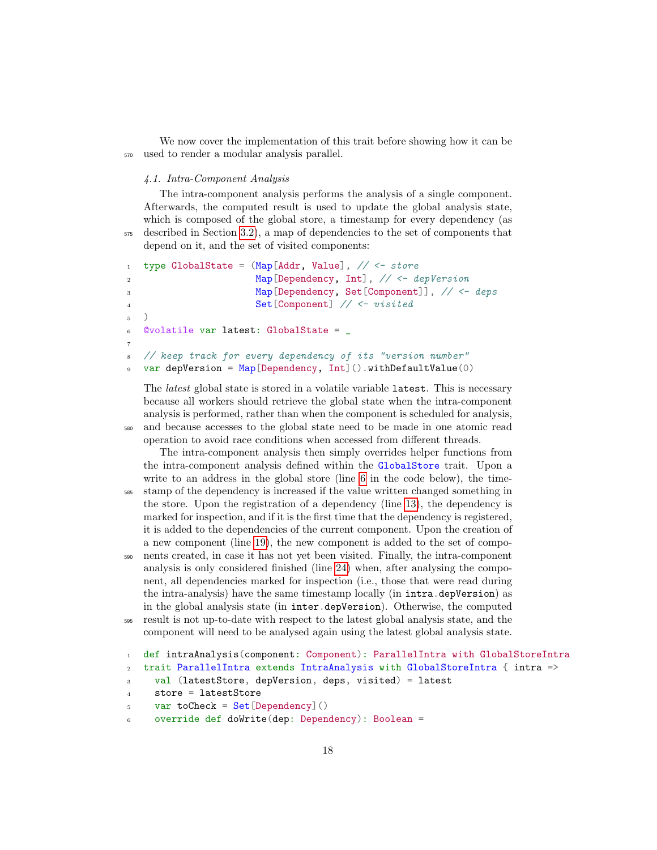We now cover the implementation of this trait before showing how it can be <sup>570</sup> used to render a modular analysis parallel.

## <span id="page-17-0"></span>4.1. Intra-Component Analysis

The intra-component analysis performs the analysis of a single component. Afterwards, the computed result is used to update the global analysis state, which is composed of the global store, a timestamp for every dependency (as <sup>575</sup> described in Section [3.2\)](#page-13-0), a map of dependencies to the set of components that depend on it, and the set of visited components:

```
1 type GlobalState = (Map[Addr, Value], \t// \tarrow store2 Map[Dependency, Int], // <- depVersion
3 Map[Dependency, Set[Component]], // <- deps
4 Set[Component] // <- visited
5 )
6 @volatile var latest: GlobalState = _
7
8 // keep track for every dependency of its "version number"
9 var depVersion = Map[Dependency, Int]() .withDefaultValue(0)
```
The *latest* global state is stored in a volatile variable **latest**. This is necessary because all workers should retrieve the global state when the intra-component analysis is performed, rather than when the component is scheduled for analysis, <sup>580</sup> and because accesses to the global state need to be made in one atomic read operation to avoid race conditions when accessed from different threads.

The intra-component analysis then simply overrides helper functions from the intra-component analysis defined within the GlobalStore trait. Upon a write to an address in the global store (line [6](#page-17-0) in the code below), the time-<sup>585</sup> stamp of the dependency is increased if the value written changed something in the store. Upon the registration of a dependency (line [13\)](#page-17-0), the dependency is marked for inspection, and if it is the first time that the dependency is registered, it is added to the dependencies of the current component. Upon the creation of a new component (line [19\)](#page-17-0), the new component is added to the set of compo-<sup>590</sup> nents created, in case it has not yet been visited. Finally, the intra-component analysis is only considered finished (line [24\)](#page-17-0) when, after analysing the component, all dependencies marked for inspection (i.e., those that were read during the intra-analysis) have the same timestamp locally (in intra.depVersion) as in the global analysis state (in inter.depVersion). Otherwise, the computed <sup>595</sup> result is not up-to-date with respect to the latest global analysis state, and the component will need to be analysed again using the latest global analysis state.

```
1 def intraAnalysis(component: Component): ParallelIntra with GlobalStoreIntra
2 trait ParallelIntra extends IntraAnalysis with GlobalStoreIntra { intra =>
3 val (latestStore, depVersion, deps, visited) = latest
```

```
4 store = latestStore
```

```
5 var toCheck = Set [Dependency] ()
```

```
6 override def doWrite(dep: Dependency): Boolean =
```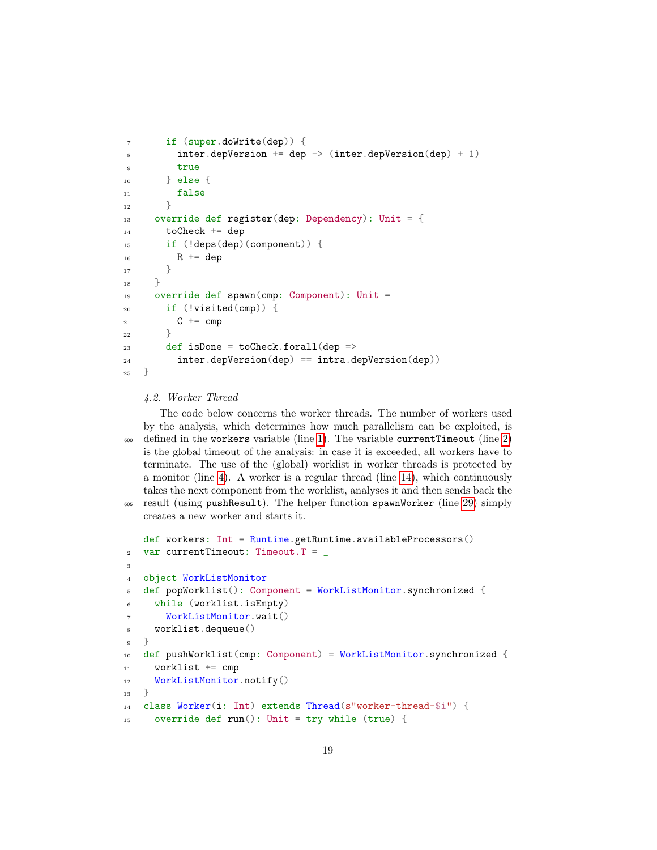```
7 if (super.doWrite(dep)) {
         \text{inter.depVersion} += \text{dep} \rightarrow (\text{inter.depVersion}(\text{dep}) + 1)9 true
_{10} } else {
11 false
12 }
13 override def register(dep: Dependency): Unit = {
14 toCheck += dep
15 if (!deps(dep)(component)) {
16 R += dep
17 }
18 }
19 override def spawn(cmp: Component): Unit =
_{20} if (!visited(cmp)) {
21 C += cmp
22 }
23 def isDone = toCheck.forall(dep =>
24 inter.depVersion(dep) == intra.depVersion(dep))
25 }
```
## <span id="page-18-0"></span>4.2. Worker Thread

The code below concerns the worker threads. The number of workers used by the analysis, which determines how much parallelism can be exploited, is  $\frac{600}{1}$  defined in the workers variable (line [1\)](#page-18-0). The variable current Timeout (line [2\)](#page-18-0) is the global timeout of the analysis: in case it is exceeded, all workers have to terminate. The use of the (global) worklist in worker threads is protected by a monitor (line [4\)](#page-18-0). A worker is a regular thread (line [14\)](#page-18-0), which continuously takes the next component from the worklist, analyses it and then sends back the result (using pushResult). The helper function spawnWorker (line [29\)](#page-18-0) simply

creates a new worker and starts it.

```
1 def workers: Int = Runtime.getRuntime.availableProcessors()
2 var currentTimeout: Timeout. T =3
4 object WorkListMonitor
5 def popWorklist(): Component = WorkListMonitor.synchronized {
6 while (worklist.isEmpty)
       WorkListMonitor.wait()
8 worklist.dequeue()
9 }
10 def pushWorklist(cmp: Component) = WorkListMonitor.synchronized {
11 worklist += cmp
12 WorkListMonitor.notify()
13 }
14 class Worker(i: Int) extends Thread(s"worker-thread-$i") {
15 override def run(): Unit = try while (true) {
```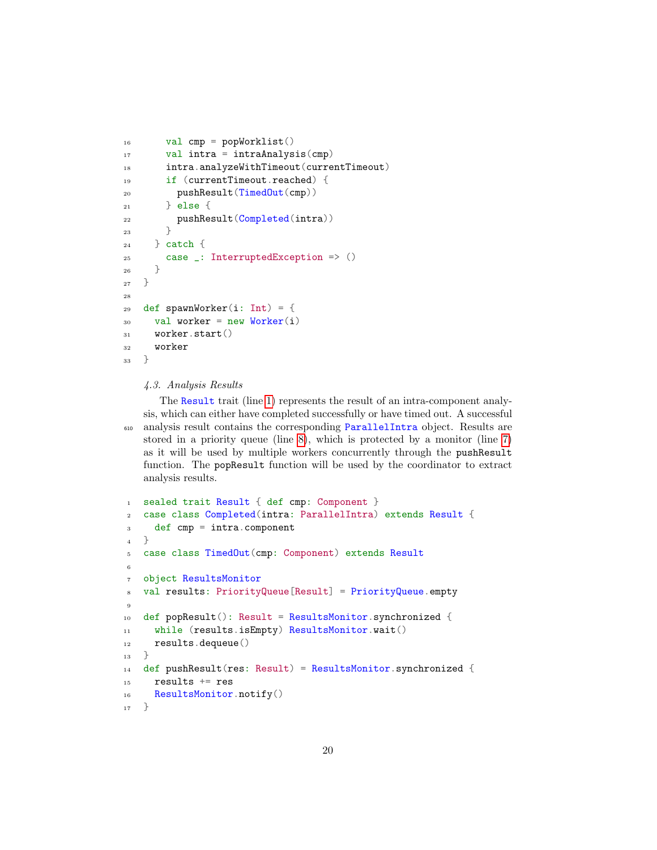```
16 val cmp = popWorklist()
17 val intra = intraAnalysis(cmp)
18 intra.analyzeWithTimeout(currentTimeout)
19 if (currentTimeout.reached) {
20 pushResult(TimedOut(cmp))
21 } else {
22 pushResult(Completed(intra))
23 }
24 } catch {
25 case _: InterruptedException => ()
26 }
27 }
28
29 def spawnWorker(i: Int) = {
30 val worker = new Worker(i)
31 worker.start()
32 worker
33 }
```
# <span id="page-19-0"></span>4.3. Analysis Results

The Result trait (line [1\)](#page-19-0) represents the result of an intra-component analysis, which can either have completed successfully or have timed out. A successful analysis result contains the corresponding ParallelIntra object. Results are stored in a priority queue (line [8\)](#page-19-0), which is protected by a monitor (line [7\)](#page-19-0) as it will be used by multiple workers concurrently through the pushResult function. The popResult function will be used by the coordinator to extract analysis results.

```
1 sealed trait Result { def cmp: Component }
2 case class Completed(intra: ParallelIntra) extends Result {
3 def cmp = intra.component
   4 }
5 case class TimedOut(cmp: Component) extends Result
6
7 object ResultsMonitor
8 val results: PriorityQueue[Result] = PriorityQueue.empty
\overline{9}10 def popResult(): Result = ResultsMonitor.synchronized {
11 while (results.isEmpty) ResultsMonitor.wait()
12 results.dequeue()
_13 }
14 def pushResult(res: Result) = ResultsMonitor.synchronized {
15 results += res
16 ResultsMonitor.notify()
17 }
```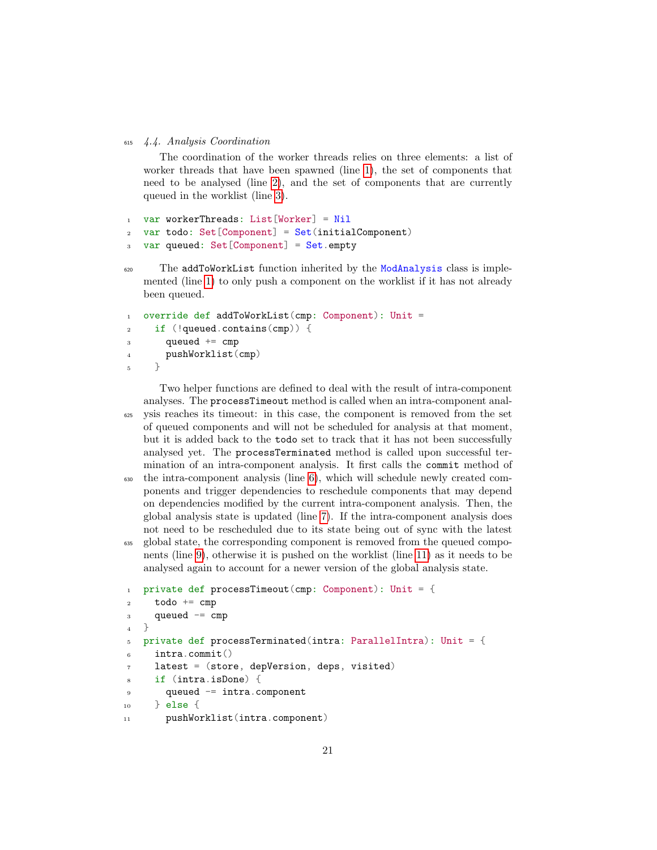<sup>615</sup> 4.4. Analysis Coordination

<span id="page-20-0"></span>The coordination of the worker threads relies on three elements: a list of worker threads that have been spawned (line [1\)](#page-20-0), the set of components that need to be analysed (line [2\)](#page-20-0), and the set of components that are currently queued in the worklist (line [3\)](#page-20-0).

```
1 var workerThreads: List[Worker] = Nil
2 var todo: Set [Component] = Set(initialComponent)
  var queued: Set[Component] = Set.empty
```
<sup>620</sup> The addToWorkList function inherited by the ModAnalysis class is implemented (line [1\)](#page-20-0) to only push a component on the worklist if it has not already been queued.

```
1 override def addToWorkList(cmp: Component): Unit =
2 if (!queued.contains(cmp)) {
3 queued += cmp
4 pushWorklist(cmp)
5 }
```
Two helper functions are defined to deal with the result of intra-component analyses. The processTimeout method is called when an intra-component anal-<sup>625</sup> ysis reaches its timeout: in this case, the component is removed from the set of queued components and will not be scheduled for analysis at that moment, but it is added back to the todo set to track that it has not been successfully analysed yet. The processTerminated method is called upon successful termination of an intra-component analysis. It first calls the commit method of <sup>630</sup> the intra-component analysis (line [6\)](#page-20-0), which will schedule newly created components and trigger dependencies to reschedule components that may depend on dependencies modified by the current intra-component analysis. Then, the global analysis state is updated (line [7\)](#page-20-0). If the intra-component analysis does

<sup>635</sup> global state, the corresponding component is removed from the queued components (line [9\)](#page-20-0), otherwise it is pushed on the worklist (line [11\)](#page-20-0) as it needs to be analysed again to account for a newer version of the global analysis state.

not need to be rescheduled due to its state being out of sync with the latest

```
1 private def processTimeout(cmp: Component): Unit = {
2 todo += cmp
3 queued - cmp
   \uparrow5 private def processTerminated(intra: ParallelIntra): Unit = {
     intra.commit()
     latest = (store, depVersion, deps, visited)
8 if (intra.isDone) {
9 queued = intra.component
10 } else {
11 pushWorklist(intra.component)
```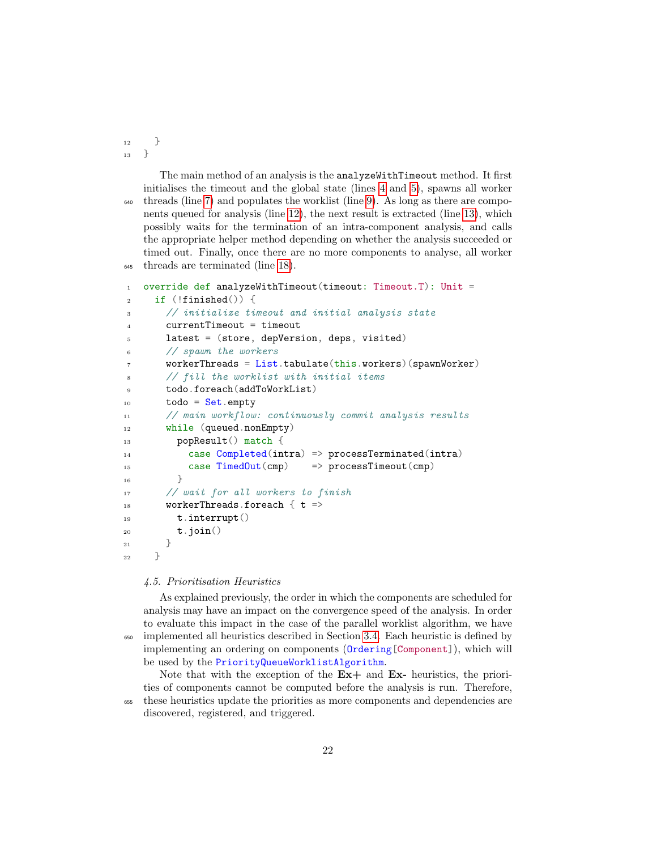$_12$  }  $_13$  }

The main method of an analysis is the analyzeWithTimeout method. It first initialises the timeout and the global state (lines [4](#page-20-0) and [5\)](#page-20-0), spawns all worker <sup>640</sup> threads (line [7\)](#page-20-0) and populates the worklist (line [9\)](#page-20-0). As long as there are components queued for analysis (line [12\)](#page-20-0), the next result is extracted (line [13\)](#page-20-0), which possibly waits for the termination of an intra-component analysis, and calls the appropriate helper method depending on whether the analysis succeeded or timed out. Finally, once there are no more components to analyse, all worker <sup>645</sup> threads are terminated (line [18\)](#page-20-0).

```
1 override def analyzeWithTimeout(timeout: Timeout.T): Unit =
2 if (!finished()) {
3 // initialize timeout and initial analysis state
       currentTimeout = timeout5 latest = (store, depVersion, deps, visited)
6 // spawn the workers
      workerThreads = List.tabulate(this.workers)(spawnWorker)// fill the worklist with initial items
      9 todo.foreach(addToWorkList)
10 todo = Set.empty
11 // main workflow: continuously commit analysis results
12 while (queued.nonEmpty)
13 popResult() match {
14 case Completed(intra) => processTerminated(intra)
15 case TimedOut(cmp) => processTimeout(cmp)
16 }
17 // wait for all workers to finish
18 workerThreads.foreach \{ t \Rightarrow19 t.interrupt()
20 t.join()
21 }
22 }
```
#### 4.5. Prioritisation Heuristics

discovered, registered, and triggered.

As explained previously, the order in which the components are scheduled for analysis may have an impact on the convergence speed of the analysis. In order to evaluate this impact in the case of the parallel worklist algorithm, we have <sup>650</sup> implemented all heuristics described in Section [3.4.](#page-14-1) Each heuristic is defined by implementing an ordering on components (Ordering[Component]), which will be used by the PriorityQueueWorklistAlgorithm.

Note that with the exception of the  $Ex+$  and  $Ex-$  heuristics, the priorities of components cannot be computed before the analysis is run. Therefore, <sup>655</sup> these heuristics update the priorities as more components and dependencies are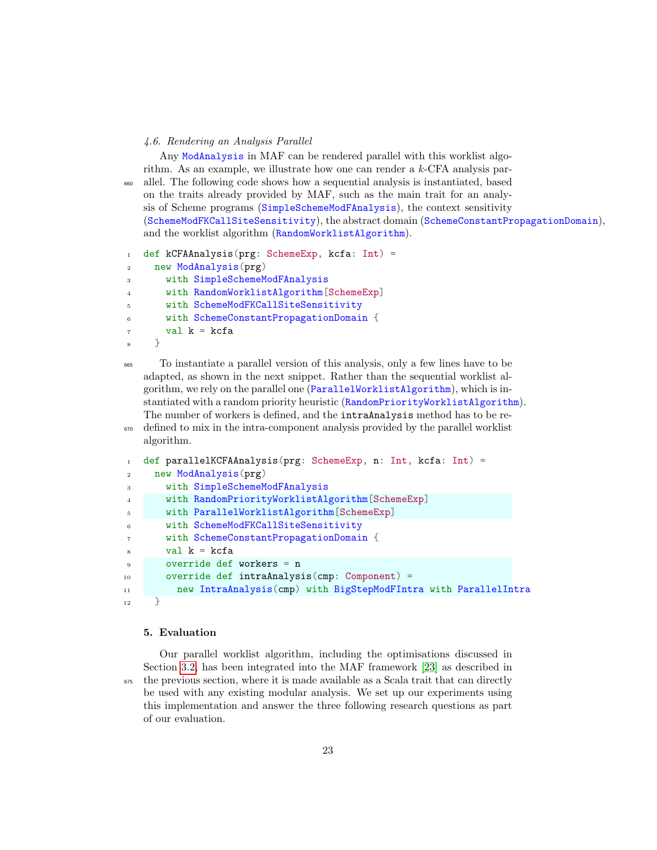#### 4.6. Rendering an Analysis Parallel

Any ModAnalysis in MAF can be rendered parallel with this worklist algorithm. As an example, we illustrate how one can render a  $k$ -CFA analysis par-<sup>660</sup> allel. The following code shows how a sequential analysis is instantiated, based on the traits already provided by MAF, such as the main trait for an analysis of Scheme programs (SimpleSchemeModFAnalysis), the context sensitivity (SchemeModFKCallSiteSensitivity), the abstract domain (SchemeConstantPropagationDomain), and the worklist algorithm (RandomWorklistAlgorithm).

```
1 def kCFAAnalysis(prg: SchemeExp, kcfa: Int) =
2 new ModAnalysis(prg)
3 with SimpleSchemeModFAnalysis
4 with RandomWorklistAlgorithm[SchemeExp]
      5 with SchemeModFKCallSiteSensitivity
6 with SchemeConstantPropagationDomain {
      val k = kcfa8 }
```
<sup>665</sup> To instantiate a parallel version of this analysis, only a few lines have to be adapted, as shown in the next snippet. Rather than the sequential worklist algorithm, we rely on the parallel one (ParallelWorklistAlgorithm), which is instantiated with a random priority heuristic (RandomPriorityWorklistAlgorithm). The number of workers is defined, and the intraAnalysis method has to be re-

```
670 defined to mix in the intra-component analysis provided by the parallel worklist
    algorithm.
```

```
1 def parallelKCFAAnalysis(prg: SchemeExp, n: Int, kcfa: Int) =
2 new ModAnalysis(prg)
       with SimpleSchemeModFAnalysis
4 with RandomPriorityWorklistAlgorithm[SchemeExp]
5 with ParallelWorklistAlgorithm[SchemeExp]
6 with SchemeModFKCallSiteSensitivity
7 with SchemeConstantPropagationDomain {
\mathbf{s} val \mathbf{k} = \mathbf{kcfa}9 override def workers = n
10 override def intraAnalysis(cmp: Component) =
11 new IntraAnalysis(cmp) with BigStepModFIntra with ParallelIntra
_{12} }
```
#### <span id="page-22-0"></span>5. Evaluation

Our parallel worklist algorithm, including the optimisations discussed in Section [3.2,](#page-13-0) has been integrated into the MAF framework [\[23\]](#page-39-5) as described in <sup>675</sup> the previous section, where it is made available as a Scala trait that can directly be used with any existing modular analysis. We set up our experiments using this implementation and answer the three following research questions as part of our evaluation.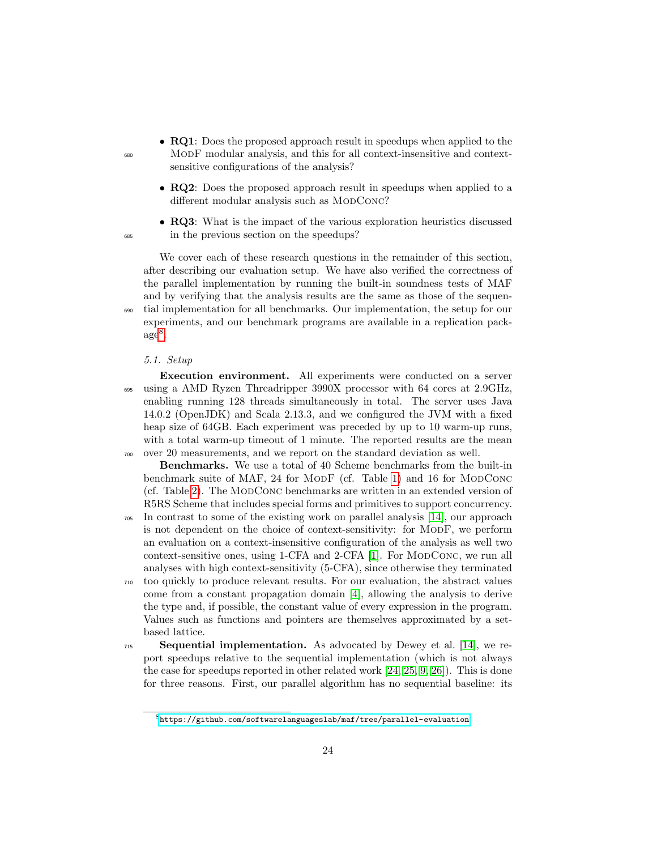- **RQ1**: Does the proposed approach result in speedups when applied to the <sup>680</sup> ModF modular analysis, and this for all context-insensitive and contextsensitive configurations of the analysis?
	- RQ2: Does the proposed approach result in speedups when applied to a different modular analysis such as MODCONC?
- RQ3: What is the impact of the various exploration heuristics discussed <sup>685</sup> in the previous section on the speedups?

We cover each of these research questions in the remainder of this section, after describing our evaluation setup. We have also verified the correctness of the parallel implementation by running the built-in soundness tests of MAF and by verifying that the analysis results are the same as those of the sequen-<sup>690</sup> tial implementation for all benchmarks. Our implementation, the setup for our experiments, and our benchmark programs are available in a replication pack- $\mathrm{age}^8$  $\mathrm{age}^8$ .

#### 5.1. Setup

Execution environment. All experiments were conducted on a server <sup>695</sup> using a AMD Ryzen Threadripper 3990X processor with 64 cores at 2.9GHz, enabling running 128 threads simultaneously in total. The server uses Java 14.0.2 (OpenJDK) and Scala 2.13.3, and we configured the JVM with a fixed heap size of 64GB. Each experiment was preceded by up to 10 warm-up runs, with a total warm-up timeout of 1 minute. The reported results are the mean <sup>700</sup> over 20 measurements, and we report on the standard deviation as well.

Benchmarks. We use a total of 40 Scheme benchmarks from the built-in benchmark suite of MAF, 24 for MODF (cf. Table [1\)](#page-24-0) and 16 for MODCONC (cf. Table [2\)](#page-25-0). The ModConc benchmarks are written in an extended version of R5RS Scheme that includes special forms and primitives to support concurrency.

- <sup>705</sup> In contrast to some of the existing work on parallel analysis [\[14\]](#page-38-4), our approach is not dependent on the choice of context-sensitivity: for ModF, we perform an evaluation on a context-insensitive configuration of the analysis as well two context-sensitive ones, using 1-CFA and 2-CFA [\[1\]](#page-36-0). For MODCONC, we run all analyses with high context-sensitivity (5-CFA), since otherwise they terminated
- <sup>710</sup> too quickly to produce relevant results. For our evaluation, the abstract values come from a constant propagation domain [\[4\]](#page-37-2), allowing the analysis to derive the type and, if possible, the constant value of every expression in the program. Values such as functions and pointers are themselves approximated by a setbased lattice.
- $_{715}$  Sequential implementation. As advocated by Dewey et al. [\[14\]](#page-38-4), we report speedups relative to the sequential implementation (which is not always the case for speedups reported in other related work [\[24,](#page-39-6) [25,](#page-39-7) [9,](#page-37-7) [26\]](#page-39-8)). This is done for three reasons. First, our parallel algorithm has no sequential baseline: its

<span id="page-23-0"></span> ${}^{8}$  <https://github.com/softwarelanguageslab/maf/tree/parallel-evaluation>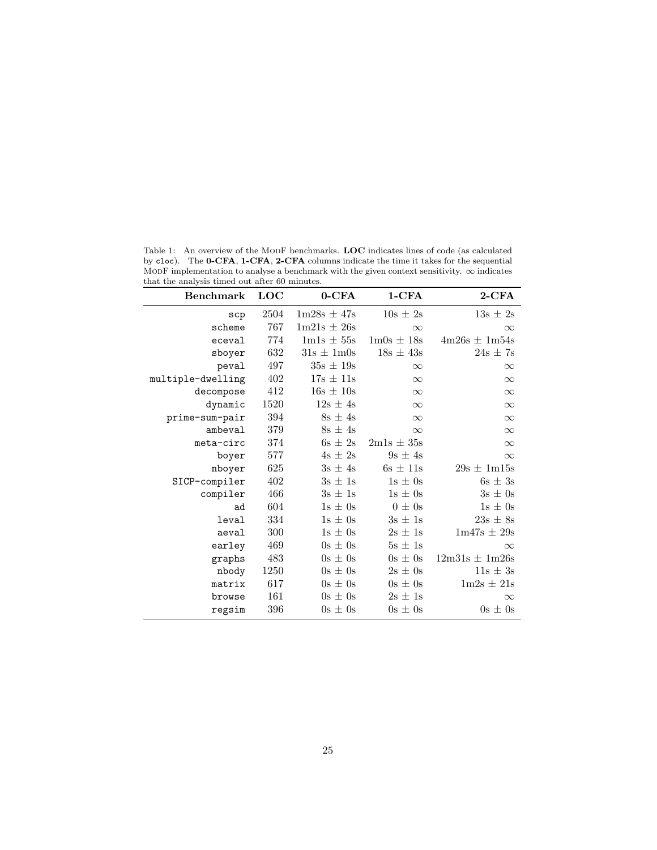| <b>Benchmark</b>  | <b>LOC</b> | $0$ -CFA        | $1-CFA$                        | $2$ -CFA           |
|-------------------|------------|-----------------|--------------------------------|--------------------|
| $_{\rm scp}$      | 2504       | $1m28s \pm 47s$ | $10s \pm 2s$                   | $13s \pm 2s$       |
| scheme            | 767        | $1m21s \pm 26s$ | $\infty$                       | $\infty$           |
| eceval            | 774        | $1m1s \pm 55s$  | $1 \text{mOs} \pm 18 \text{s}$ | $4m26s \pm 1m54s$  |
| sboyer            | 632        | $31s \pm 1m0s$  | $18s \pm 43s$                  | $24s \pm 7s$       |
| peval             | 497        | $35s \pm 19s$   | $\infty$                       | $\infty$           |
| multiple-dwelling | 402        | $17s \pm 11s$   | $\infty$                       | $\infty$           |
| decompose         | 412        | $16s \pm 10s$   | $\infty$                       | $\infty$           |
| dynamic           | 1520       | $12s \pm 4s$    | $\infty$                       | $\infty$           |
| prime-sum-pair    | 394        | $8s \pm 4s$     | $\infty$                       | $\infty$           |
| ambeval           | 379        | $8s \pm 4s$     | $\infty$                       | $\infty$           |
| meta-circ         | 374        | $6s \pm 2s$     | $2m1s \pm 35s$                 | $\infty$           |
| boyer             | 577        | $4s \pm 2s$     | $9s \pm 4s$                    | $\infty$           |
| nboyer            | 625        | $3s \pm 4s$     | $6s \pm 11s$                   | $29s \pm 1m15s$    |
| SICP-compiler     | 402        | $3s \pm 1s$     | $1s \pm 0s$                    | $6s \pm 3s$        |
| compiler          | 466        | $3s \pm 1s$     | $1s \pm 0s$                    | $3s \pm 0s$        |
| ad                | 604        | $1s \pm 0s$     | $0 \pm 0$ s                    | $1s \pm 0s$        |
| leval             | 334        | $1s \pm 0s$     | $3s \pm 1s$                    | $23s \pm 8s$       |
| aeval             | 300        | $1s \pm 0s$     | $2s \pm 1s$                    | $1m47s \pm 29s$    |
| earley            | 469        | $0s \pm 0s$     | $5s \pm 1s$                    | $\infty$           |
| graphs            | 483        | $0s \pm 0s$     | $0s \pm 0s$                    | $12m31s \pm 1m26s$ |
| nbody             | 1250       | $0s \pm 0s$     | $2s \pm 0s$                    | $11s \pm 3s$       |
| matrix            | 617        | $0s \pm 0s$     | $0s \pm 0s$                    | $1m2s \pm 21s$     |
| browse            | 161        | $0s \pm 0s$     | $2s \pm 1s$                    | $\infty$           |
| regsim            | 396        | $0s \pm 0s$     | $0s \pm 0s$                    | $0s \pm 0s$        |

<span id="page-24-0"></span>Table 1: An overview of the MODF benchmarks. LOC indicates lines of code (as calculated by cloc). The 0-CFA, 1-CFA, 2-CFA columns indicate the time it takes for the sequential MODF implementation to analyse a benchmark with the given context sensitivity.  $\infty$  indicates that the analysis timed out after 60 minutes.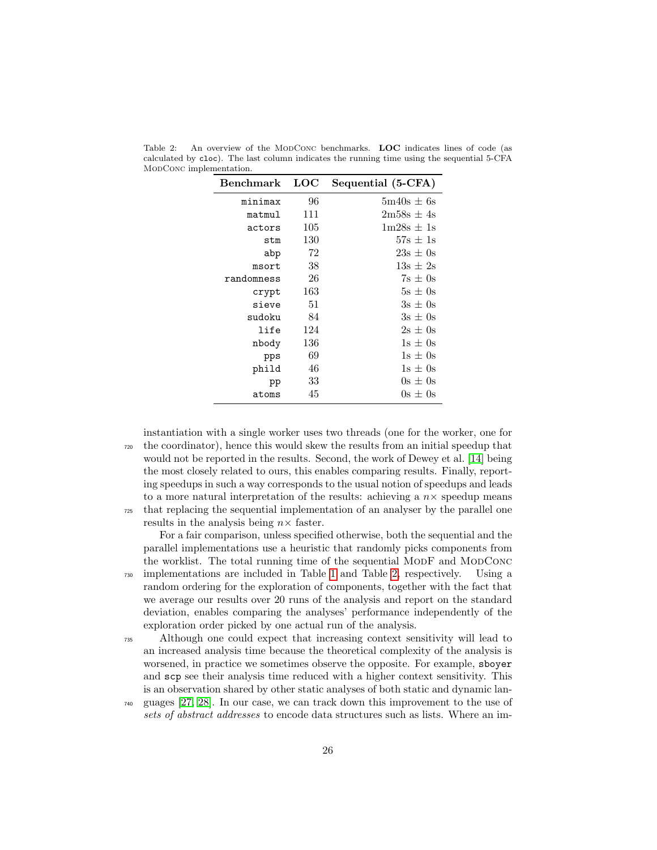| Benchmark  | LOC | Sequential (5-CFA)                      |
|------------|-----|-----------------------------------------|
| minimax    | 96  | $5m40s \pm 6s$                          |
| matmul     | 111 | $2m58s \pm 4s$                          |
| actors     | 105 | $1 \text{m} 28 \text{s} \pm 1 \text{s}$ |
| stm        | 130 | $57s \pm 1s$                            |
| abp        | 72  | $23s \pm 0s$                            |
| msort      | 38  | $13s + 2s$                              |
| randomness | 26  | $7s \pm 0s$                             |
| crypt      | 163 | $5s \pm 0s$                             |
| sieve      | 51  | $3s + 0s$                               |
| sudoku     | 84  | $3s \pm 0s$                             |
| life       | 124 | $2s \pm 0s$                             |
| nbody      | 136 | $1s \pm 0s$                             |
| pps        | 69  | $1s \pm 0s$                             |
| phild      | 46  | $1s \pm 0s$                             |
| pp         | 33  | $0s \pm 0s$                             |
| atoms      | 45  | $0s \pm 0s$                             |

<span id="page-25-0"></span>Table 2: An overview of the MODCONC benchmarks. LOC indicates lines of code (as calculated by cloc). The last column indicates the running time using the sequential 5-CFA MODCONC implementation.

instantiation with a single worker uses two threads (one for the worker, one for <sup>720</sup> the coordinator), hence this would skew the results from an initial speedup that would not be reported in the results. Second, the work of Dewey et al. [\[14\]](#page-38-4) being the most closely related to ours, this enables comparing results. Finally, reporting speedups in such a way corresponds to the usual notion of speedups and leads to a more natural interpretation of the results: achieving a  $n \times$  speedup means <sup>725</sup> that replacing the sequential implementation of an analyser by the parallel one results in the analysis being  $n \times$  faster.

For a fair comparison, unless specified otherwise, both the sequential and the parallel implementations use a heuristic that randomly picks components from the worklist. The total running time of the sequential MODF and MODCONC <sup>730</sup> implementations are included in Table [1](#page-24-0) and Table [2,](#page-25-0) respectively. Using a random ordering for the exploration of components, together with the fact that we average our results over 20 runs of the analysis and report on the standard deviation, enables comparing the analyses' performance independently of the exploration order picked by one actual run of the analysis.

<sup>735</sup> Although one could expect that increasing context sensitivity will lead to an increased analysis time because the theoretical complexity of the analysis is worsened, in practice we sometimes observe the opposite. For example, sboyer and scp see their analysis time reduced with a higher context sensitivity. This is an observation shared by other static analyses of both static and dynamic lan-

<sup>740</sup> guages [\[27,](#page-39-9) [28\]](#page-40-0). In our case, we can track down this improvement to the use of sets of abstract addresses to encode data structures such as lists. Where an im-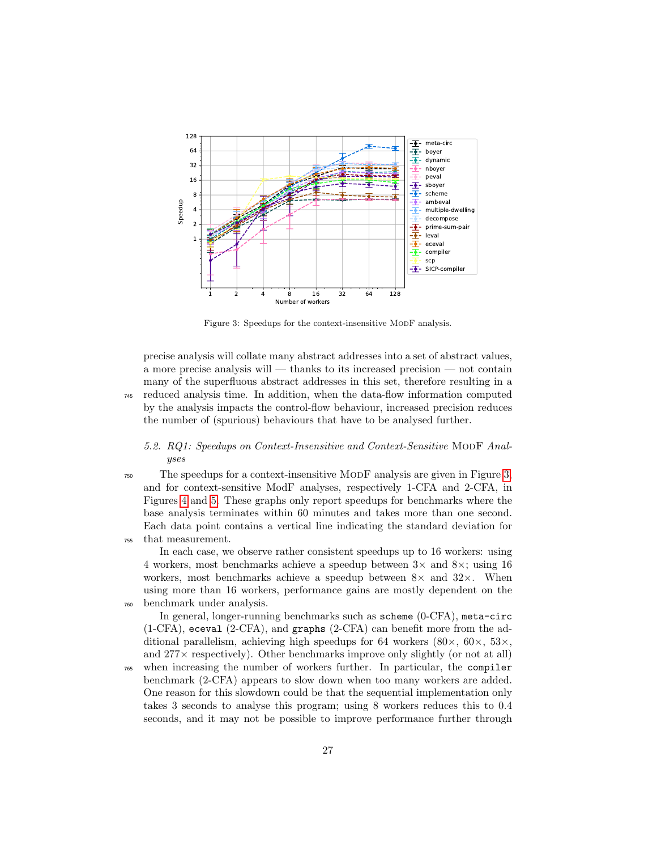

<span id="page-26-0"></span>Figure 3: Speedups for the context-insensitive MODF analysis.

precise analysis will collate many abstract addresses into a set of abstract values, a more precise analysis will — thanks to its increased precision — not contain many of the superfluous abstract addresses in this set, therefore resulting in a <sup>745</sup> reduced analysis time. In addition, when the data-flow information computed by the analysis impacts the control-flow behaviour, increased precision reduces the number of (spurious) behaviours that have to be analysed further.

## 5.2. RQ1: Speedups on Context-Insensitive and Context-Sensitive MODF Analyses

<sup>750</sup> The speedups for a context-insensitive ModF analysis are given in Figure [3,](#page-26-0) and for context-sensitive ModF analyses, respectively 1-CFA and 2-CFA, in Figures [4](#page-27-0) and [5.](#page-27-1) These graphs only report speedups for benchmarks where the base analysis terminates within 60 minutes and takes more than one second. Each data point contains a vertical line indicating the standard deviation for <sup>755</sup> that measurement.

In each case, we observe rather consistent speedups up to 16 workers: using 4 workers, most benchmarks achieve a speedup between  $3\times$  and  $8\times$ ; using 16 workers, most benchmarks achieve a speedup between  $8\times$  and  $32\times$ . When using more than 16 workers, performance gains are mostly dependent on the <sup>760</sup> benchmark under analysis.

In general, longer-running benchmarks such as scheme (0-CFA), meta-circ (1-CFA), eceval (2-CFA), and graphs (2-CFA) can benefit more from the additional parallelism, achieving high speedups for 64 workers  $(80 \times, 60 \times, 53 \times,$ and  $277\times$  respectively). Other benchmarks improve only slightly (or not at all)

<sup>765</sup> when increasing the number of workers further. In particular, the compiler benchmark (2-CFA) appears to slow down when too many workers are added. One reason for this slowdown could be that the sequential implementation only takes 3 seconds to analyse this program; using 8 workers reduces this to 0.4 seconds, and it may not be possible to improve performance further through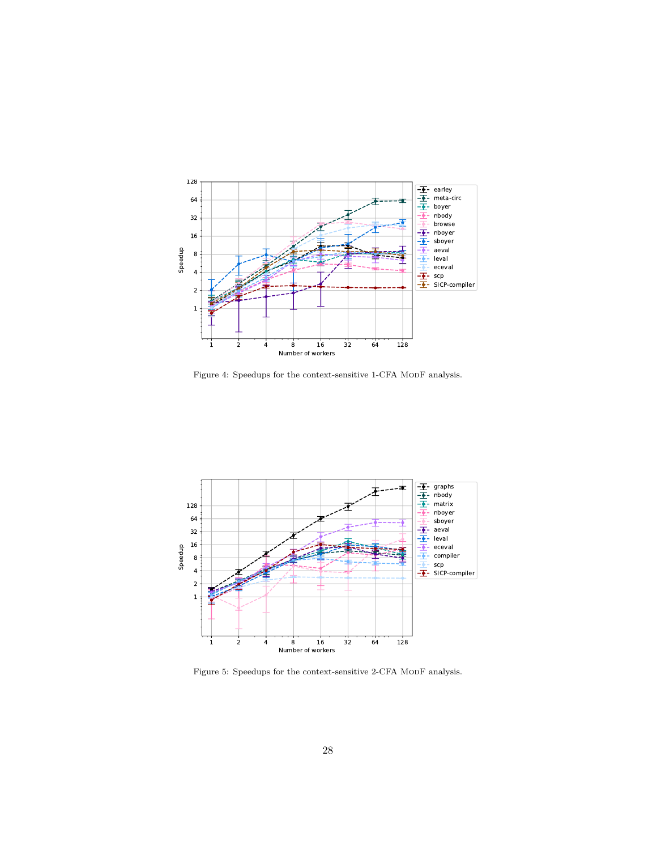

<span id="page-27-0"></span>Figure 4: Speedups for the context-sensitive 1-CFA MODF analysis.



<span id="page-27-1"></span>Figure 5: Speedups for the context-sensitive 2-CFA MoDF analysis.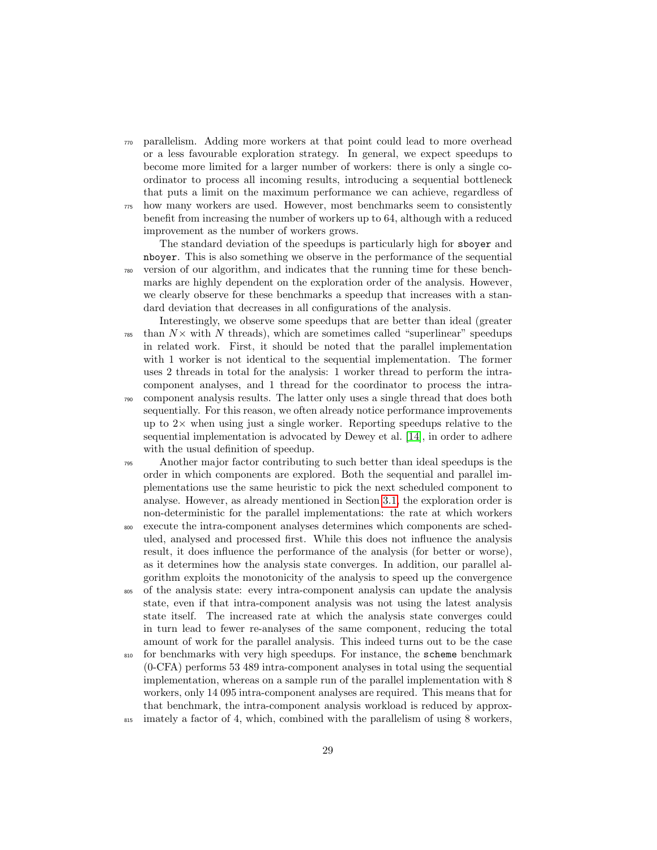- <sup>770</sup> parallelism. Adding more workers at that point could lead to more overhead or a less favourable exploration strategy. In general, we expect speedups to become more limited for a larger number of workers: there is only a single coordinator to process all incoming results, introducing a sequential bottleneck that puts a limit on the maximum performance we can achieve, regardless of <sup>775</sup> how many workers are used. However, most benchmarks seem to consistently
- benefit from increasing the number of workers up to 64, although with a reduced improvement as the number of workers grows.

The standard deviation of the speedups is particularly high for sboyer and nboyer. This is also something we observe in the performance of the sequential <sup>780</sup> version of our algorithm, and indicates that the running time for these benchmarks are highly dependent on the exploration order of the analysis. However, we clearly observe for these benchmarks a speedup that increases with a standard deviation that decreases in all configurations of the analysis.

- Interestingly, we observe some speedups that are better than ideal (greater  $\tau_{\text{785}}$  than  $N \times$  with N threads), which are sometimes called "superlinear" speedups in related work. First, it should be noted that the parallel implementation with 1 worker is not identical to the sequential implementation. The former uses 2 threads in total for the analysis: 1 worker thread to perform the intracomponent analyses, and 1 thread for the coordinator to process the intra-<sup>790</sup> component analysis results. The latter only uses a single thread that does both sequentially. For this reason, we often already notice performance improvements up to  $2\times$  when using just a single worker. Reporting speedups relative to the sequential implementation is advocated by Dewey et al. [\[14\]](#page-38-4), in order to adhere with the usual definition of speedup.
- <sup>795</sup> Another major factor contributing to such better than ideal speedups is the order in which components are explored. Both the sequential and parallel implementations use the same heuristic to pick the next scheduled component to analyse. However, as already mentioned in Section [3.1,](#page-10-0) the exploration order is non-deterministic for the parallel implementations: the rate at which workers <sup>800</sup> execute the intra-component analyses determines which components are sched-
- uled, analysed and processed first. While this does not influence the analysis result, it does influence the performance of the analysis (for better or worse), as it determines how the analysis state converges. In addition, our parallel algorithm exploits the monotonicity of the analysis to speed up the convergence
- <sup>805</sup> of the analysis state: every intra-component analysis can update the analysis state, even if that intra-component analysis was not using the latest analysis state itself. The increased rate at which the analysis state converges could in turn lead to fewer re-analyses of the same component, reducing the total amount of work for the parallel analysis. This indeed turns out to be the case
- <sup>810</sup> for benchmarks with very high speedups. For instance, the scheme benchmark (0-CFA) performs 53 489 intra-component analyses in total using the sequential implementation, whereas on a sample run of the parallel implementation with 8 workers, only 14 095 intra-component analyses are required. This means that for that benchmark, the intra-component analysis workload is reduced by approx-
- <sup>815</sup> imately a factor of 4, which, combined with the parallelism of using 8 workers,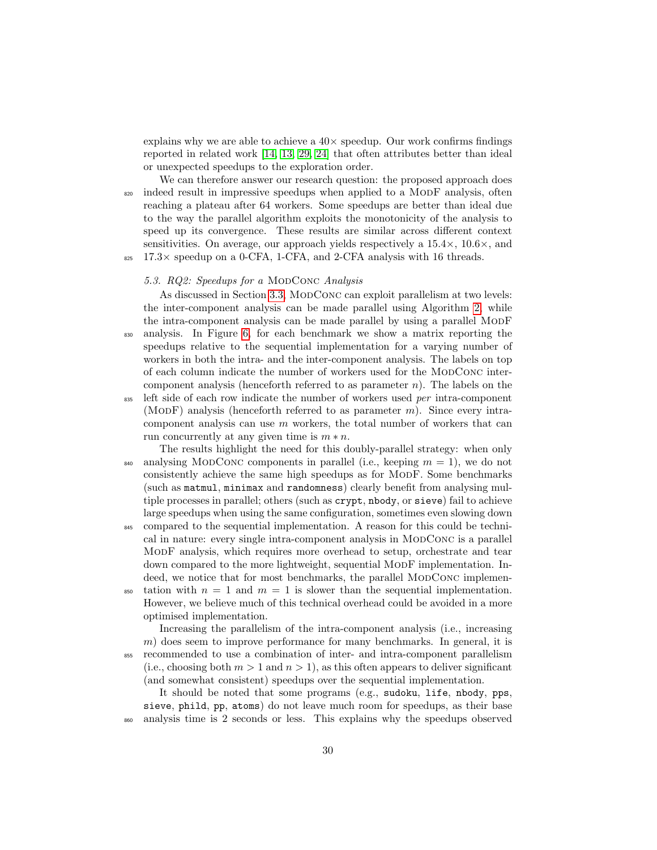explains why we are able to achieve a  $40\times$  speedup. Our work confirms findings reported in related work [\[14,](#page-38-4) [13,](#page-38-3) [29,](#page-40-1) [24\]](#page-39-6) that often attributes better than ideal or unexpected speedups to the exploration order.

We can therefore answer our research question: the proposed approach does <sup>820</sup> indeed result in impressive speedups when applied to a MODF analysis, often reaching a plateau after 64 workers. Some speedups are better than ideal due to the way the parallel algorithm exploits the monotonicity of the analysis to speed up its convergence. These results are similar across different context sensitivities. On average, our approach yields respectively a  $15.4\times$ ,  $10.6\times$ , and  $825$  17.3 $\times$  speedup on a 0-CFA, 1-CFA, and 2-CFA analysis with 16 threads.

### 5.3. RQ2: Speedups for a MODCONC Analysis

As discussed in Section [3.3,](#page-14-0) MODCONC can exploit parallelism at two levels: the inter-component analysis can be made parallel using Algorithm [2,](#page-12-0) while the intra-component analysis can be made parallel by using a parallel ModF <sup>830</sup> analysis. In Figure [6,](#page-30-0) for each benchmark we show a matrix reporting the speedups relative to the sequential implementation for a varying number of workers in both the intra- and the inter-component analysis. The labels on top of each column indicate the number of workers used for the MODCONC intercomponent analysis (henceforth referred to as parameter  $n$ ). The labels on the <sup>835</sup> left side of each row indicate the number of workers used per intra-component (MODF) analysis (henceforth referred to as parameter  $m$ ). Since every intracomponent analysis can use  $m$  workers, the total number of workers that can run concurrently at any given time is  $m * n$ .

- The results highlight the need for this doubly-parallel strategy: when only  $\alpha_{840}$  analysing MODCONC components in parallel (i.e., keeping  $m = 1$ ), we do not consistently achieve the same high speedups as for ModF. Some benchmarks (such as matmul, minimax and randomness) clearly benefit from analysing multiple processes in parallel; others (such as crypt, nbody, or sieve) fail to achieve large speedups when using the same configuration, sometimes even slowing down
- <sup>845</sup> compared to the sequential implementation. A reason for this could be technical in nature: every single intra-component analysis in ModConc is a parallel ModF analysis, which requires more overhead to setup, orchestrate and tear down compared to the more lightweight, sequential ModF implementation. Indeed, we notice that for most benchmarks, the parallel MODCONC implemen-
- <sup>850</sup> tation with  $n = 1$  and  $m = 1$  is slower than the sequential implementation. However, we believe much of this technical overhead could be avoided in a more optimised implementation.

Increasing the parallelism of the intra-component analysis (i.e., increasing m) does seem to improve performance for many benchmarks. In general, it is <sup>855</sup> recommended to use a combination of inter- and intra-component parallelism (i.e., choosing both  $m > 1$  and  $n > 1$ ), as this often appears to deliver significant (and somewhat consistent) speedups over the sequential implementation.

It should be noted that some programs (e.g., sudoku, life, nbody, pps, sieve, phild, pp, atoms) do not leave much room for speedups, as their base <sup>860</sup> analysis time is 2 seconds or less. This explains why the speedups observed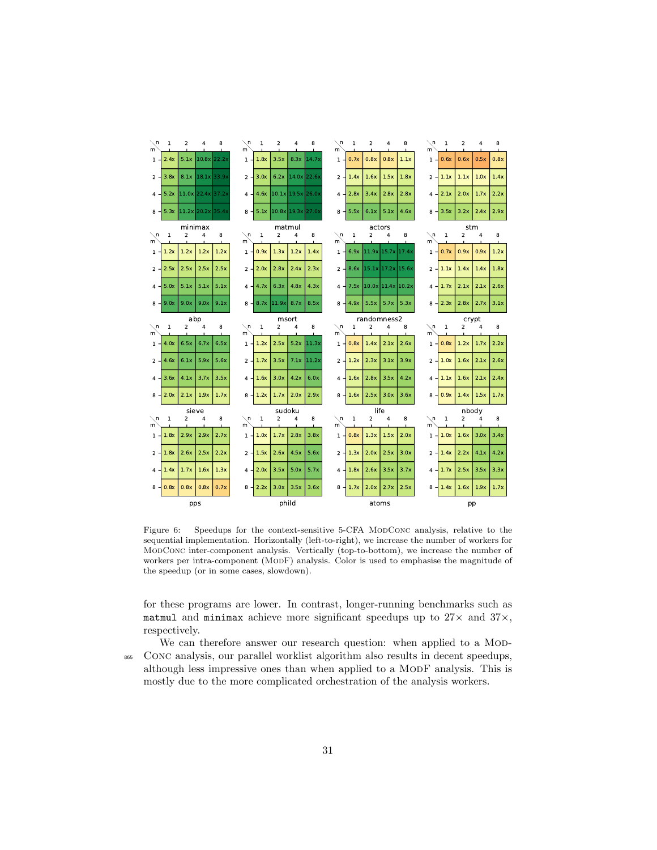

<span id="page-30-0"></span>Figure 6: Speedups for the context-sensitive 5-CFA MoDConc analysis, relative to the sequential implementation. Horizontally (left-to-right), we increase the number of workers for ModConc inter-component analysis. Vertically (top-to-bottom), we increase the number of workers per intra-component (ModF) analysis. Color is used to emphasise the magnitude of the speedup (or in some cases, slowdown).

for these programs are lower. In contrast, longer-running benchmarks such as matmul and minimax achieve more significant speedups up to  $27\times$  and  $37\times$ , respectively.

We can therefore answer our research question: when applied to a MoD-<sup>865</sup> Conc analysis, our parallel worklist algorithm also results in decent speedups, although less impressive ones than when applied to a ModF analysis. This is mostly due to the more complicated orchestration of the analysis workers.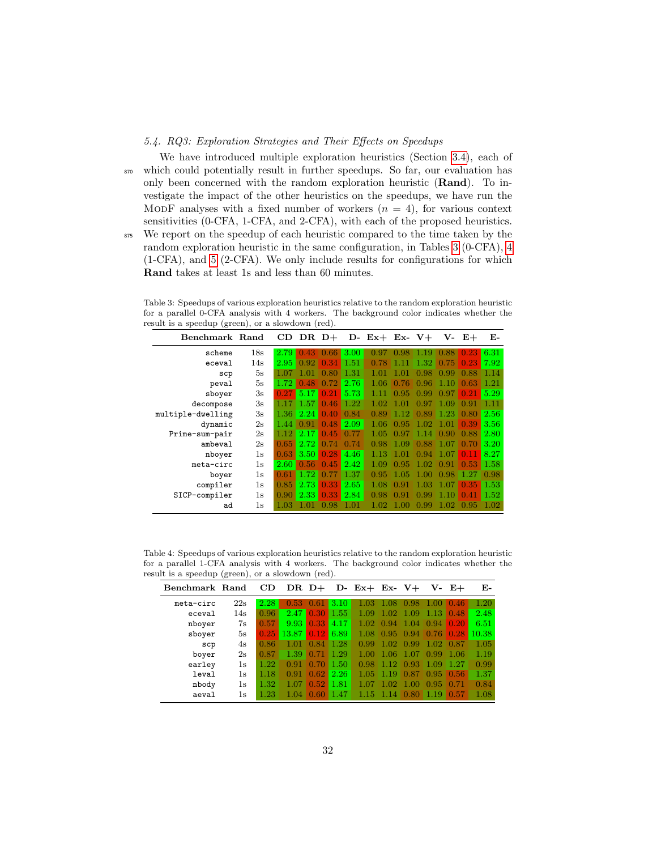# <span id="page-31-0"></span>5.4. RQ3: Exploration Strategies and Their Effects on Speedups

We have introduced multiple exploration heuristics (Section [3.4\)](#page-14-1), each of <sup>870</sup> which could potentially result in further speedups. So far, our evaluation has only been concerned with the random exploration heuristic (Rand). To investigate the impact of the other heuristics on the speedups, we have run the MODF analyses with a fixed number of workers  $(n = 4)$ , for various context sensitivities (0-CFA, 1-CFA, and 2-CFA), with each of the proposed heuristics. <sup>875</sup> We report on the speedup of each heuristic compared to the time taken by the random exploration heuristic in the same configuration, in Tables [3](#page-31-1) (0-CFA), [4](#page-31-2) (1-CFA), and [5](#page-32-0) (2-CFA). We only include results for configurations for which Rand takes at least 1s and less than 60 minutes.

<span id="page-31-1"></span>Table 3: Speedups of various exploration heuristics relative to the random exploration heuristic for a parallel 0-CFA analysis with 4 workers. The background color indicates whether the result is a speedup (green), or a slowdown (red).

| Benchmark Rand    |     |      | $CD$ DR $D+$ |      |      | $D - Ex + Ex - V +$ |      |      |                   | $V - E +$ | Е-   |
|-------------------|-----|------|--------------|------|------|---------------------|------|------|-------------------|-----------|------|
| scheme            | 18s | 2.79 | 43           | 0.66 | 3.00 | 0.97                | 0.98 | 1.19 | 0.88              | 0.23      | 6.31 |
| eceval            | 14s | 2.95 | 0.92         | 0.34 | 1.51 | 0.78                | 1.11 | 1.32 | 0.75              | 0.23      | 7.92 |
| scp               | 5s  | 1.07 | 1.01         | 0.80 | 1.31 | 1.01                | 1 01 | 0.98 | 0.99              | 0.88      | 1.14 |
| peval             | 5s  | 1.72 | 0.48         | 0.72 | 2.76 | 1.06                | 0.76 | 0.96 | 1.10              | 0.63      | 1.21 |
| sboyer            | 3s  | 0.27 | 5.17         | 0.21 | 5.73 |                     | 0.95 | 0.99 | 0.97              | 0.21      | 5.29 |
| decompose         | 3s  | 1.17 | 1.57         | 0.46 | 1.22 | 1.02                | 1.01 | በ 97 | 1.09              | 0.91      | 1.11 |
| multiple-dwelling | 3s  | 1.36 | 2.24         | 0.40 | 0.84 | 0.89                | 1.12 | 0.89 | 1.23              | 0.80      | 2.56 |
| dynamic           | 2s  | 1.44 | 0.91         | 0.48 | 2.09 | 1.06                | 0.95 | 1.02 | 1.01              | 0.39      | 3.56 |
| Prime-sum-pair    | 2s  | 1.12 | 2.17         | 0.45 | 0.77 | 1.05                | 0.97 | 1.14 | 0.90              | 0.88      | 2.80 |
| ambeval           | 2s  | 0.65 | 2.72         | 0.74 | 0.74 | 0.98                | 1.09 | 0.88 | 1.07              | 0.70      | 3.20 |
| nboyer            | 1s  | 0.63 | 3.50         | 0.28 | 4.46 | 1.13                | 1.01 | 0.94 | 1.07 <sub>1</sub> | 0.11      | 8.27 |
| meta-circ         | 1s  | 2.60 | 0.56         | 0.45 | 2.42 | 1.09                | 0.95 | 1.02 | 0.91              | 0.53      | 1.58 |
| boyer             | 1s  | 0.61 | 1.72         | 0.77 | 1.37 | 0.95                | 1.05 | 1.00 | 0.98              | 1.27      | 0.98 |
| compiler          | 1s  | 0.85 | 2.73         | 0.33 | 2.65 | 1.08                | 0.91 | 1.03 | 1.07              | 0.35      | 1.53 |
| SICP-compiler     | 1s  | 0.90 | 2.33         | 0.33 | 2.84 | 0.98                | N 91 | 0.99 | 1.10              | 0.41      | 1.52 |
| ad                | 1s  | 1.03 | 1.01         | 0.98 | 1.01 |                     | 1.00 | 0.99 | 1.02              | 0.95      | 1.02 |

<span id="page-31-2"></span>Table 4: Speedups of various exploration heuristics relative to the random exploration heuristic for a parallel 1-CFA analysis with 4 workers. The background color indicates whether the result is a speedup (green), or a slowdown (red).

| Benchmark Rand |     | CD   |                   |      |      | DR $D+$ D- Ex+ Ex- V+ |         |             |                   | V- E+          | Е-    |
|----------------|-----|------|-------------------|------|------|-----------------------|---------|-------------|-------------------|----------------|-------|
| meta-circ      | 22s | 2.28 | 0.53              | 0.61 | 3.10 | 1.03                  | 1.08    | 0.98        | -1.00             | $-0.46$        | 1.20  |
| eceval         | 14s | 0.96 | 2.47              | 0.30 | 1.55 | 1.09                  | 1.02    | $-1.09$     | -1.13             | 0.48           | 2.48  |
| nboyer         | 7s  | 0.57 | 9.93              | 0.33 | 4.17 | 1.02                  | 0.94    | -1.04       | $\Box 0.94 \Box$  | 0.20           | 6.51  |
| sboyer         | 5s  | 0.25 | 13.87             | 0.12 | 6.89 | 1.08                  | 0.95    |             | $0.94 \quad 0.76$ | 0.28           | 10.38 |
| scp            | 4s  | 0.86 | 1.01              | 0.84 | 1.28 | 0.99                  | 1.02    | 0.99        | 1.02              | 0.87           | 1.05  |
| boyer          | 2s  | 0.87 | 1.39              | 0.71 | 1.29 | 1.00                  | 1.06    | -1.07       | 0.99              | -1.06          | 1.19  |
| earley         | 1s  | 1.22 | 0.91              | 0.70 | 1.50 | 0.98                  | 1.12    | 0.93        | 1.09              | 1.27           | 0.99  |
| leval          | 1s  | 1.18 | 0.91              | 0.62 | 2.26 | 1.05                  | 1.19    | 0.87        |                   | $0.95 \, 0.56$ | 1.37  |
| nbody          | 1s  | 1.32 | 1.07 <sup>1</sup> | 0.52 | 1.81 | 1.07                  | 1.02    | 1.00        | 0.95              | 0.71           | 0.84  |
| aeval          | 1s  | 1.23 | 1.04              | 0.60 | 1.47 | 1.15                  | $-1.14$ | $0.80$ 1.19 |                   | $\sqrt{0.57}$  | 1.08  |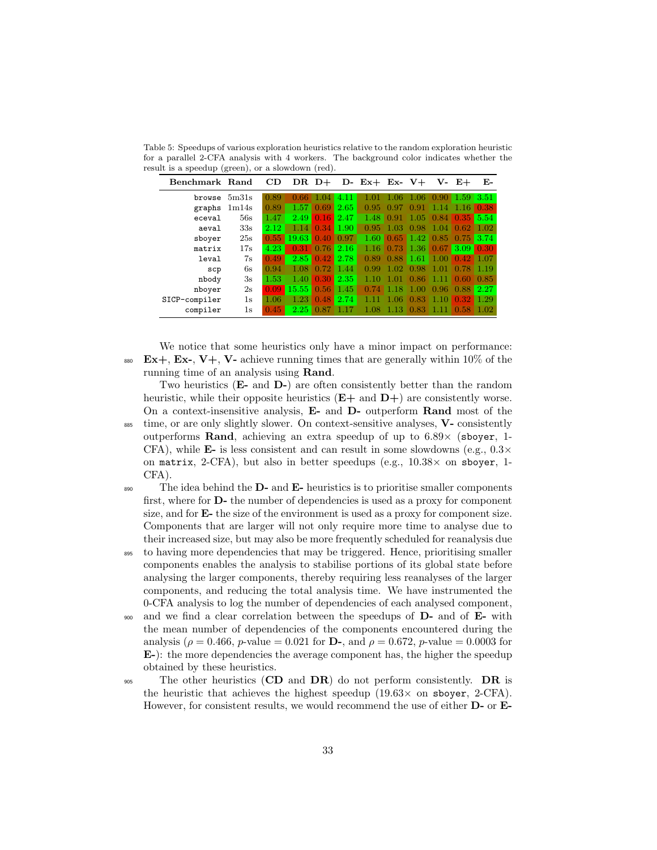| Benchmark Rand |       | CD   |       | $DR1 +$ |      | D- Ex+ Ex- $V+$ |      |       |         | $V - E +$ | Е-   |
|----------------|-------|------|-------|---------|------|-----------------|------|-------|---------|-----------|------|
| browse         | 5m31s | 0.89 | 0.66  | 1.04    | 4.11 | 1.01            | 1.06 | 1.06  | 0.90    | 1.59      | 3.51 |
| graphs         | 1m14s | 0.89 | 1.57  | 0.69    | 2.65 | 0.95            | 0.97 | 0.91  | 1.14    | 1.16      | 0.38 |
| eceval         | 56s   | 1.47 | 2.49  | 0.16    | 2.47 | 1.48            | 0.91 | 1.05  | 0.84    | 0.35      | 5.54 |
| aeval          | 33s   | 2.12 | 1.14  | 0.34    | 1.90 | 0.95            | 1.03 | 0.98  | $-1.04$ | 0.62      | 1.02 |
| sboyer         | 25s   | 0.55 | 19.63 | 0.40    | 0.97 | 1.60            | 0.65 | 1.42  | 0.85    | 0.75      | 3.74 |
| matrix         | 17s   | 4.23 | 0.31  | 0.76    | 2.16 | 1.16            | 0.73 | 1.36  | 0.67    | 3.09      | 0.30 |
| leval          | 7s    | 0.49 | 2.85  | 0.42    | 2.78 | 0.89            | 0.88 | 1.61  | 1.00    | 0.42      | 1.07 |
| $_{\tt sep}$   | 6s    | 0.94 | 1.08  | 0.72    | 1.44 | 0.99            | 1.02 | 0.98  | 1.01    | 0.78      | 1.19 |
| nbody          | 3s    | 1.53 | 1.40  | 0.30    | 2.35 | 1.10            | 1.01 | 0.86  | -1.11   | 0.60      | 0.85 |
| nboyer         | 2s    | 0.09 | 15.55 | 0.56    | 1.45 | 0.74            | 1.18 | -1.00 | 0.96    | 0.88      | 2.27 |
| SICP-compiler  | 1s    | 1.06 | 1.23  | 0.48    | 2.74 |                 | 1.06 | 0.83  | 1.10    | 0.32      | 1.29 |
| compiler       | 1s    | 0.45 | 2.25  | 0.87    | 1.17 | 1.08            | 1.13 | 0.83  | -1.11   | 0.58      | 1.02 |

<span id="page-32-0"></span>Table 5: Speedups of various exploration heuristics relative to the random exploration heuristic for a parallel 2-CFA analysis with 4 workers. The background color indicates whether the result is a speedup (green), or a slowdown (red).

We notice that some heuristics only have a minor impact on performance: 880 Ex+, Ex-, V+, V- achieve running times that are generally within 10% of the running time of an analysis using Rand.

Two heuristics (E- and D-) are often consistently better than the random heuristic, while their opposite heuristics  $(E+$  and  $D+$ ) are consistently worse. On a context-insensitive analysis, E- and D- outperform Rand most of the  $885$  time, or are only slightly slower. On context-sensitive analyses,  $V$ -consistently

- outperforms Rand, achieving an extra speedup of up to 6.89× (sboyer, 1- CFA), while **E-** is less consistent and can result in some slowdowns (e.g.,  $0.3 \times$ on matrix, 2-CFA), but also in better speedups (e.g.,  $10.38 \times$  on sboyer, 1-CFA).
- $\mathbb{R}^3$  The idea behind the **D** and **E** heuristics is to prioritise smaller components first, where for D- the number of dependencies is used as a proxy for component size, and for E- the size of the environment is used as a proxy for component size. Components that are larger will not only require more time to analyse due to their increased size, but may also be more frequently scheduled for reanalysis due
- <sup>895</sup> to having more dependencies that may be triggered. Hence, prioritising smaller components enables the analysis to stabilise portions of its global state before analysing the larger components, thereby requiring less reanalyses of the larger components, and reducing the total analysis time. We have instrumented the 0-CFA analysis to log the number of dependencies of each analysed component,
- <sup>900</sup> and we find a clear correlation between the speedups of **D** and of **E** with the mean number of dependencies of the components encountered during the analysis ( $\rho = 0.466$ , *p*-value = 0.021 for **D**-, and  $\rho = 0.672$ , *p*-value = 0.0003 for E-): the more dependencies the average component has, the higher the speedup obtained by these heuristics.
- <sup>905</sup> The other heuristics (CD and  $DR$ ) do not perform consistently. DR is the heuristic that achieves the highest speedup  $(19.63 \times$  on sboyer, 2-CFA). However, for consistent results, we would recommend the use of either D- or E-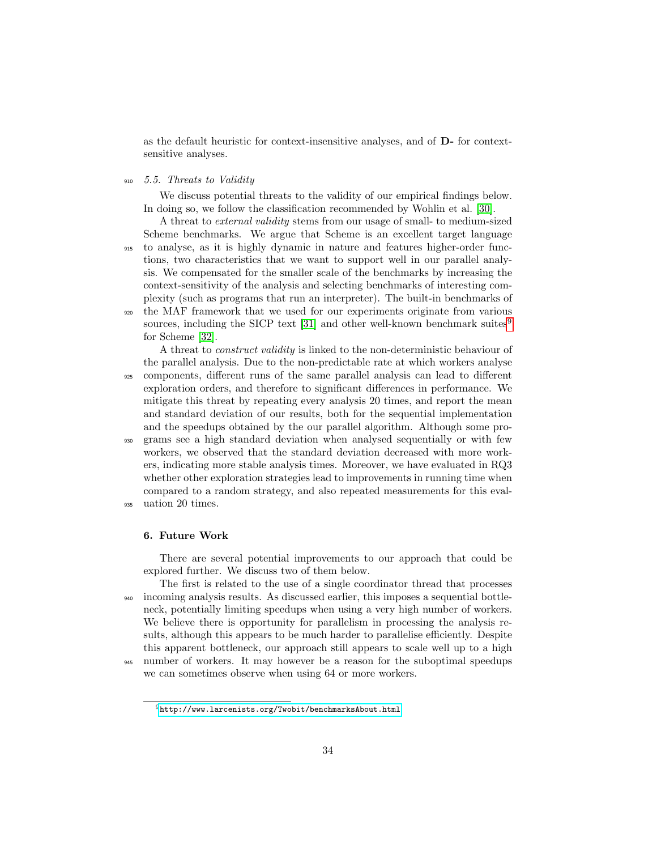as the default heuristic for context-insensitive analyses, and of D- for contextsensitive analyses.

<sup>910</sup> 5.5. Threats to Validity

We discuss potential threats to the validity of our empirical findings below. In doing so, we follow the classification recommended by Wohlin et al. [\[30\]](#page-40-2).

A threat to external validity stems from our usage of small- to medium-sized Scheme benchmarks. We argue that Scheme is an excellent target language <sup>915</sup> to analyse, as it is highly dynamic in nature and features higher-order functions, two characteristics that we want to support well in our parallel analysis. We compensated for the smaller scale of the benchmarks by increasing the context-sensitivity of the analysis and selecting benchmarks of interesting complexity (such as programs that run an interpreter). The built-in benchmarks of <sup>920</sup> the MAF framework that we used for our experiments originate from various sources, including the SICP text [\[31\]](#page-40-3) and other well-known benchmark suites<sup>[9](#page-33-0)</sup>

for Scheme [\[32\]](#page-40-4).

A threat to construct validity is linked to the non-deterministic behaviour of the parallel analysis. Due to the non-predictable rate at which workers analyse <sup>925</sup> components, different runs of the same parallel analysis can lead to different exploration orders, and therefore to significant differences in performance. We mitigate this threat by repeating every analysis 20 times, and report the mean and standard deviation of our results, both for the sequential implementation and the speedups obtained by the our parallel algorithm. Although some pro-<sup>930</sup> grams see a high standard deviation when analysed sequentially or with few workers, we observed that the standard deviation decreased with more workers, indicating more stable analysis times. Moreover, we have evaluated in RQ3 whether other exploration strategies lead to improvements in running time when compared to a random strategy, and also repeated measurements for this eval-

<sup>935</sup> uation 20 times.

#### 6. Future Work

There are several potential improvements to our approach that could be explored further. We discuss two of them below.

The first is related to the use of a single coordinator thread that processes <sup>940</sup> incoming analysis results. As discussed earlier, this imposes a sequential bottleneck, potentially limiting speedups when using a very high number of workers. We believe there is opportunity for parallelism in processing the analysis results, although this appears to be much harder to parallelise efficiently. Despite this apparent bottleneck, our approach still appears to scale well up to a high <sup>945</sup> number of workers. It may however be a reason for the suboptimal speedups

we can sometimes observe when using 64 or more workers.

<span id="page-33-0"></span> $^9{\tt http://www.larcenists.org/Twobit/benchnarksAbout.html}$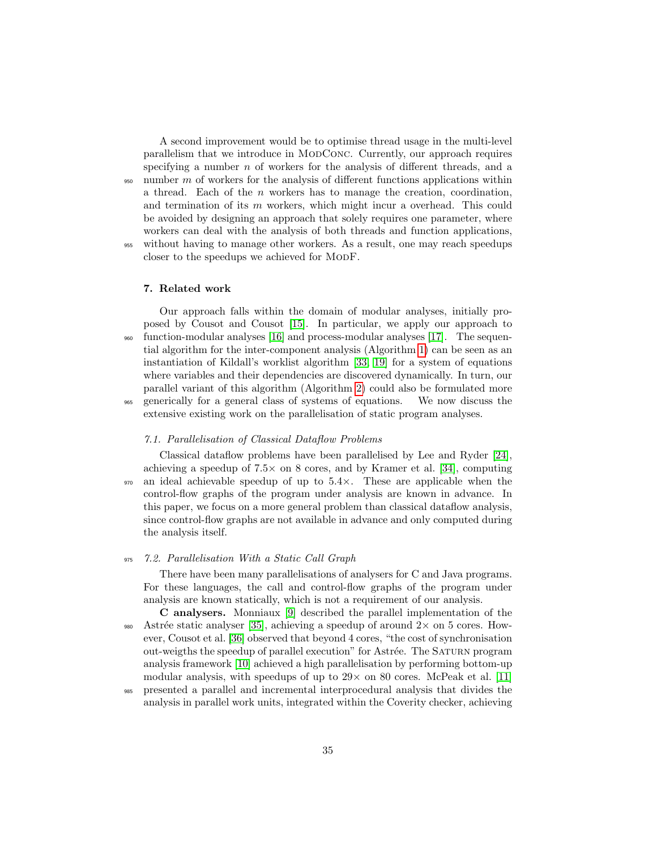A second improvement would be to optimise thread usage in the multi-level parallelism that we introduce in ModConc. Currently, our approach requires specifying a number  $n$  of workers for the analysis of different threads, and a  $\frac{950}{100}$  number m of workers for the analysis of different functions applications within a thread. Each of the  $n$  workers has to manage the creation, coordination, and termination of its  $m$  workers, which might incur a overhead. This could be avoided by designing an approach that solely requires one parameter, where workers can deal with the analysis of both threads and function applications, <sup>955</sup> without having to manage other workers. As a result, one may reach speedups closer to the speedups we achieved for MODF.

#### 7. Related work

Our approach falls within the domain of modular analyses, initially proposed by Cousot and Cousot [\[15\]](#page-38-5). In particular, we apply our approach to <sup>960</sup> function-modular analyses [\[16\]](#page-38-6) and process-modular analyses [\[17\]](#page-38-7). The sequential algorithm for the inter-component analysis (Algorithm [1\)](#page-5-0) can be seen as an instantiation of Kildall's worklist algorithm [\[33,](#page-40-5) [19\]](#page-39-1) for a system of equations where variables and their dependencies are discovered dynamically. In turn, our parallel variant of this algorithm (Algorithm [2\)](#page-12-0) could also be formulated more <sup>965</sup> generically for a general class of systems of equations. We now discuss the extensive existing work on the parallelisation of static program analyses.

### 7.1. Parallelisation of Classical Dataflow Problems

Classical dataflow problems have been parallelised by Lee and Ryder [\[24\]](#page-39-6), achieving a speedup of  $7.5 \times$  on 8 cores, and by Kramer et al. [\[34\]](#page-40-6), computing  $970$  an ideal achievable speedup of up to  $5.4\times$ . These are applicable when the control-flow graphs of the program under analysis are known in advance. In this paper, we focus on a more general problem than classical dataflow analysis, since control-flow graphs are not available in advance and only computed during the analysis itself.

### <sup>975</sup> 7.2. Parallelisation With a Static Call Graph

There have been many parallelisations of analysers for C and Java programs. For these languages, the call and control-flow graphs of the program under analysis are known statically, which is not a requirement of our analysis.

C analysers. Monniaux [\[9\]](#page-37-7) described the parallel implementation of the 980 Astrée static analyser [\[35\]](#page-40-7), achieving a speedup of around  $2\times$  on 5 cores. However, Cousot et al. [\[36\]](#page-40-8) observed that beyond 4 cores, "the cost of synchronisation out-weigths the speedup of parallel execution" for Astrée. The SATURN program analysis framework [\[10\]](#page-38-0) achieved a high parallelisation by performing bottom-up modular analysis, with speedups of up to  $29 \times$  on 80 cores. McPeak et al. [\[11\]](#page-38-1)

<sup>985</sup> presented a parallel and incremental interprocedural analysis that divides the analysis in parallel work units, integrated within the Coverity checker, achieving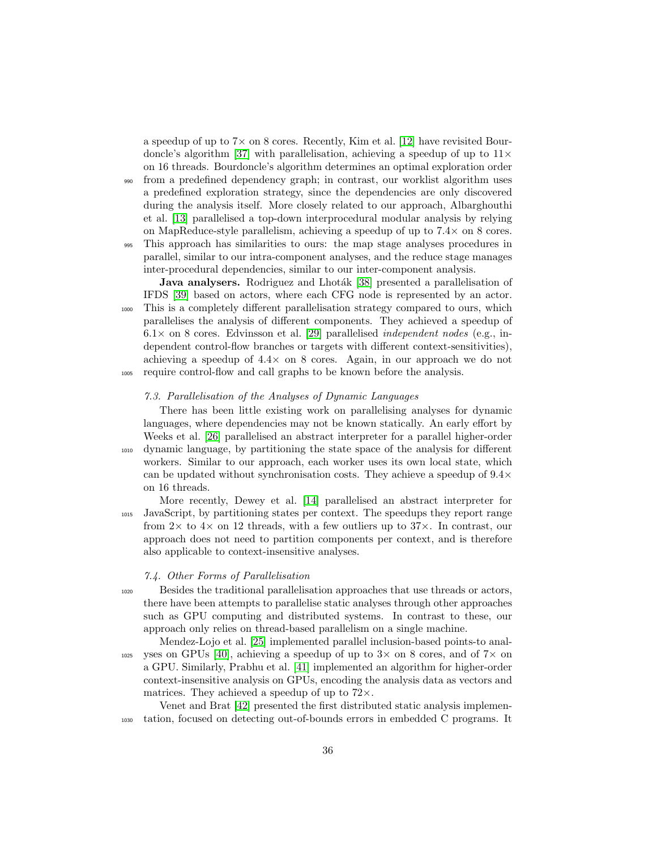a speedup of up to  $7\times$  on 8 cores. Recently, Kim et al. [\[12\]](#page-38-2) have revisited Bour-doncle's algorithm [\[37\]](#page-40-9) with parallelisation, achieving a speedup of up to  $11 \times$ on 16 threads. Bourdoncle's algorithm determines an optimal exploration order <sup>990</sup> from a predefined dependency graph; in contrast, our worklist algorithm uses

a predefined exploration strategy, since the dependencies are only discovered during the analysis itself. More closely related to our approach, Albarghouthi et al. [\[13\]](#page-38-3) parallelised a top-down interprocedural modular analysis by relying on MapReduce-style parallelism, achieving a speedup of up to 7.4× on 8 cores.

<sup>995</sup> This approach has similarities to ours: the map stage analyses procedures in parallel, similar to our intra-component analyses, and the reduce stage manages inter-procedural dependencies, similar to our inter-component analysis.

Java analysers. Rodriguez and Lhoták [\[38\]](#page-41-0) presented a parallelisation of IFDS [\[39\]](#page-41-1) based on actors, where each CFG node is represented by an actor. <sup>1000</sup> This is a completely different parallelisation strategy compared to ours, which parallelises the analysis of different components. They achieved a speedup of  $6.1\times$  on 8 cores. Edvinsson et al. [\[29\]](#page-40-1) parallelised *independent nodes* (e.g., independent control-flow branches or targets with different context-sensitivities), achieving a speedup of  $4.4 \times$  on 8 cores. Again, in our approach we do not <sup>1005</sup> require control-flow and call graphs to be known before the analysis.

## 7.3. Parallelisation of the Analyses of Dynamic Languages

There has been little existing work on parallelising analyses for dynamic languages, where dependencies may not be known statically. An early effort by Weeks et al. [\[26\]](#page-39-8) parallelised an abstract interpreter for a parallel higher-order <sup>1010</sup> dynamic language, by partitioning the state space of the analysis for different workers. Similar to our approach, each worker uses its own local state, which can be updated without synchronisation costs. They achieve a speedup of  $9.4\times$ on 16 threads.

More recently, Dewey et al. [\[14\]](#page-38-4) parallelised an abstract interpreter for <sup>1015</sup> JavaScript, by partitioning states per context. The speedups they report range from  $2 \times$  to  $4 \times$  on 12 threads, with a few outliers up to  $37 \times$ . In contrast, our approach does not need to partition components per context, and is therefore also applicable to context-insensitive analyses.

## 7.4. Other Forms of Parallelisation

<sup>1020</sup> Besides the traditional parallelisation approaches that use threads or actors, there have been attempts to parallelise static analyses through other approaches such as GPU computing and distributed systems. In contrast to these, our approach only relies on thread-based parallelism on a single machine.

Mendez-Lojo et al. [\[25\]](#page-39-7) implemented parallel inclusion-based points-to anal- $_{1025}$  yses on GPUs [\[40\]](#page-41-2), achieving a speedup of up to 3× on 8 cores, and of 7× on a GPU. Similarly, Prabhu et al. [\[41\]](#page-41-3) implemented an algorithm for higher-order context-insensitive analysis on GPUs, encoding the analysis data as vectors and matrices. They achieved a speedup of up to  $72\times$ .

Venet and Brat [\[42\]](#page-41-4) presented the first distributed static analysis implemen-<sup>1030</sup> tation, focused on detecting out-of-bounds errors in embedded C programs. It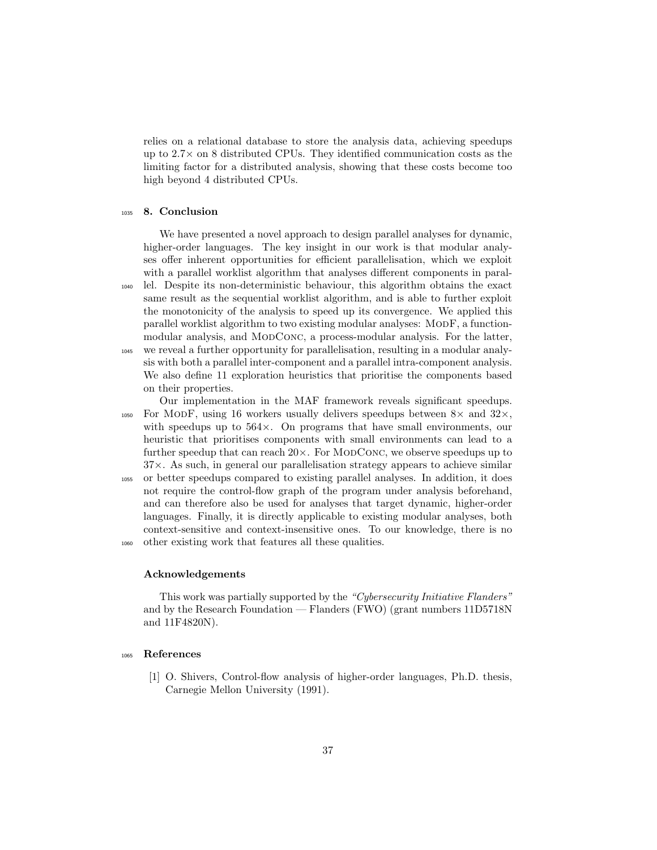relies on a relational database to store the analysis data, achieving speedups up to  $2.7\times$  on 8 distributed CPUs. They identified communication costs as the limiting factor for a distributed analysis, showing that these costs become too high beyond 4 distributed CPUs.

## <sup>1035</sup> 8. Conclusion

We have presented a novel approach to design parallel analyses for dynamic, higher-order languages. The key insight in our work is that modular analyses offer inherent opportunities for efficient parallelisation, which we exploit with a parallel worklist algorithm that analyses different components in paral-<sup>1040</sup> lel. Despite its non-deterministic behaviour, this algorithm obtains the exact same result as the sequential worklist algorithm, and is able to further exploit the monotonicity of the analysis to speed up its convergence. We applied this parallel worklist algorithm to two existing modular analyses: MODF, a functionmodular analysis, and ModConc, a process-modular analysis. For the latter, <sup>1045</sup> we reveal a further opportunity for parallelisation, resulting in a modular analysis with both a parallel inter-component and a parallel intra-component analysis. We also define 11 exploration heuristics that prioritise the components based on their properties.

Our implementation in the MAF framework reveals significant speedups.  $_{1050}$  For MODF, using 16 workers usually delivers speedups between  $8\times$  and  $32\times$ . with speedups up to  $564\times$ . On programs that have small environments, our heuristic that prioritises components with small environments can lead to a further speedup that can reach  $20\times$ . For MODCONC, we observe speedups up to  $37\times$ . As such, in general our parallelisation strategy appears to achieve similar <sup>1055</sup> or better speedups compared to existing parallel analyses. In addition, it does not require the control-flow graph of the program under analysis beforehand, and can therefore also be used for analyses that target dynamic, higher-order languages. Finally, it is directly applicable to existing modular analyses, both

context-sensitive and context-insensitive ones. To our knowledge, there is no <sup>1060</sup> other existing work that features all these qualities.

#### Acknowledgements

This work was partially supported by the "Cybersecurity Initiative Flanders" and by the Research Foundation — Flanders (FWO) (grant numbers 11D5718N and 11F4820N).

## <sup>1065</sup> References

<span id="page-36-0"></span>[1] O. Shivers, Control-flow analysis of higher-order languages, Ph.D. thesis, Carnegie Mellon University (1991).

37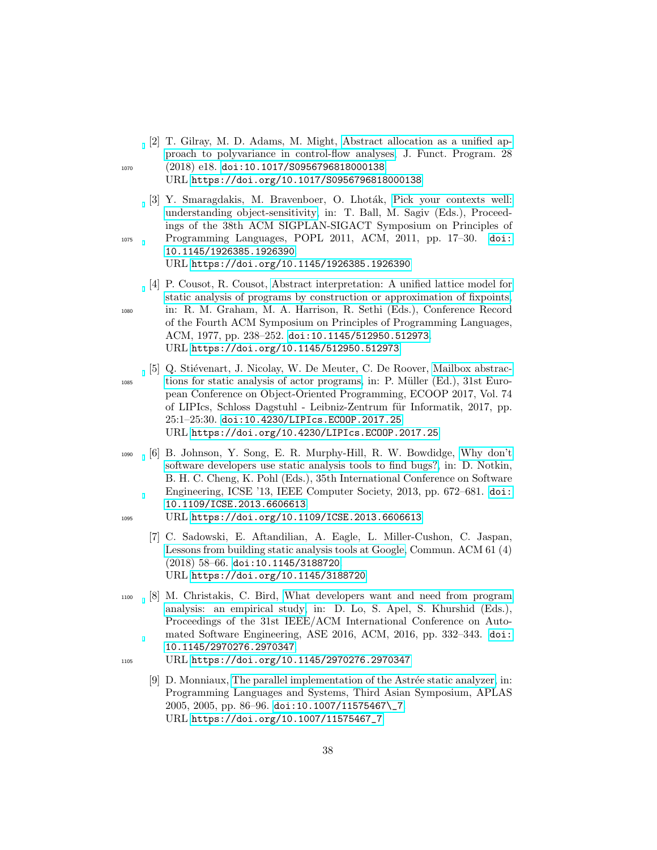- <span id="page-37-0"></span>[2] T. Gilray, M. D. Adams, M. Might, [Abstract allocation as a unified ap](https://doi.org/10.1017/S0956796818000138)[proach to polyvariance in control-flow analyses,](https://doi.org/10.1017/S0956796818000138) J. Funct. Program. 28 1070 (2018) e18. [doi:10.1017/S0956796818000138](https://doi.org/10.1017/S0956796818000138). URL <https://doi.org/10.1017/S0956796818000138>
- <span id="page-37-1"></span>[3] Y. Smaragdakis, M. Bravenboer, O. Lhoták, [Pick your contexts well:](https://doi.org/10.1145/1926385.1926390) [understanding object-sensitivity,](https://doi.org/10.1145/1926385.1926390) in: T. Ball, M. Sagiv (Eds.), Proceedings of the 38th ACM SIGPLAN-SIGACT Symposium on Principles of <sup>1075</sup> Programming Languages, POPL 2011, ACM, 2011, pp. 17–30. [doi:](https://doi.org/10.1145/1926385.1926390) [10.1145/1926385.1926390](https://doi.org/10.1145/1926385.1926390).

<span id="page-37-2"></span>URL <https://doi.org/10.1145/1926385.1926390>

- [4] P. Cousot, R. Cousot, [Abstract interpretation: A unified lattice model for](https://doi.org/10.1145/512950.512973) [static analysis of programs by construction or approximation of fixpoints,](https://doi.org/10.1145/512950.512973) <sup>1080</sup> in: R. M. Graham, M. A. Harrison, R. Sethi (Eds.), Conference Record of the Fourth ACM Symposium on Principles of Programming Languages, ACM, 1977, pp. 238–252. [doi:10.1145/512950.512973](https://doi.org/10.1145/512950.512973). URL <https://doi.org/10.1145/512950.512973>
- <span id="page-37-3"></span>[5] Q. Stiévenart, J. Nicolay, W. De Meuter, C. De Roover, [Mailbox abstrac-](https://doi.org/10.4230/LIPIcs.ECOOP.2017.25)<sup>1085</sup> [tions for static analysis of actor programs,](https://doi.org/10.4230/LIPIcs.ECOOP.2017.25) in: P. M¨uller (Ed.), 31st European Conference on Object-Oriented Programming, ECOOP 2017, Vol. 74 of LIPIcs, Schloss Dagstuhl - Leibniz-Zentrum für Informatik, 2017, pp. 25:1–25:30. [doi:10.4230/LIPIcs.ECOOP.2017.25](https://doi.org/10.4230/LIPIcs.ECOOP.2017.25). URL <https://doi.org/10.4230/LIPIcs.ECOOP.2017.25>
- <span id="page-37-4"></span><sup>1090</sup> [6] B. Johnson, Y. Song, E. R. Murphy-Hill, R. W. Bowdidge, [Why don't](https://doi.org/10.1109/ICSE.2013.6606613) [software developers use static analysis tools to find bugs?,](https://doi.org/10.1109/ICSE.2013.6606613) in: D. Notkin, B. H. C. Cheng, K. Pohl (Eds.), 35th International Conference on Software Engineering, ICSE '13, IEEE Computer Society, 2013, pp. 672–681. [doi:](https://doi.org/10.1109/ICSE.2013.6606613) [10.1109/ICSE.2013.6606613](https://doi.org/10.1109/ICSE.2013.6606613).
- <span id="page-37-5"></span><sup>1095</sup> URL <https://doi.org/10.1109/ICSE.2013.6606613>
	- [7] C. Sadowski, E. Aftandilian, A. Eagle, L. Miller-Cushon, C. Jaspan, [Lessons from building static analysis tools at Google,](https://doi.org/10.1145/3188720) Commun. ACM 61 (4) (2018) 58–66. [doi:10.1145/3188720](https://doi.org/10.1145/3188720). URL <https://doi.org/10.1145/3188720>
- <span id="page-37-6"></span><sup>1100</sup> [8] M. Christakis, C. Bird, [What developers want and need from program](https://doi.org/10.1145/2970276.2970347) [analysis: an empirical study,](https://doi.org/10.1145/2970276.2970347) in: D. Lo, S. Apel, S. Khurshid (Eds.), Proceedings of the 31st IEEE/ACM International Conference on Automated Software Engineering, ASE 2016, ACM, 2016, pp. 332–343. [doi:](https://doi.org/10.1145/2970276.2970347) [10.1145/2970276.2970347](https://doi.org/10.1145/2970276.2970347).
- <span id="page-37-7"></span>1105 URL <https://doi.org/10.1145/2970276.2970347>
	- [9]  $\Box$  Monniaux, The parallel implementation of the Astrée static analyzer, in: Programming Languages and Systems, Third Asian Symposium, APLAS 2005, 2005, pp. 86–96. [doi:10.1007/11575467\\\_7](https://doi.org/10.1007/11575467_7). URL [https://doi.org/10.1007/11575467\\_7](https://doi.org/10.1007/11575467_7)

38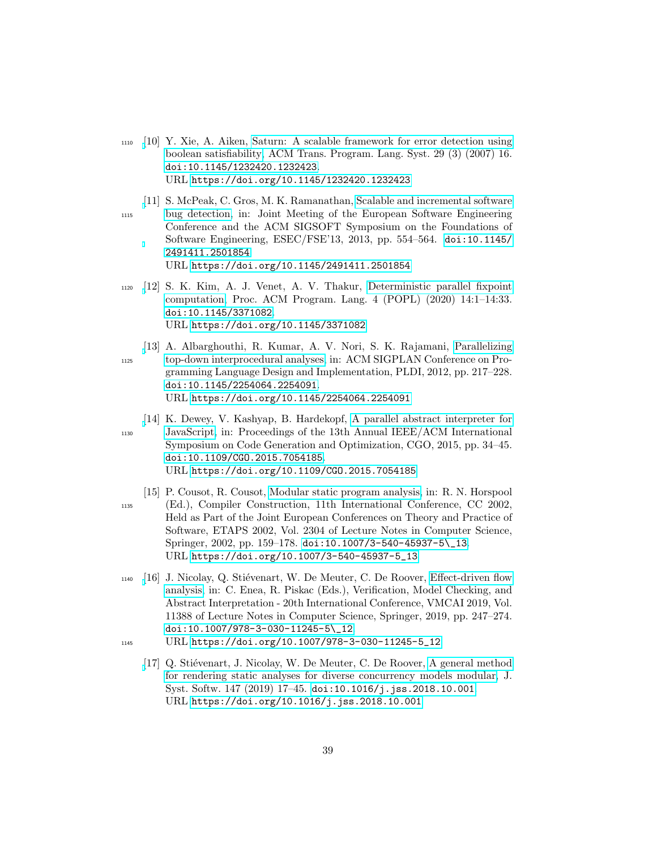- <span id="page-38-0"></span><sup>1110</sup> [\[](https://doi.org/10.1145/1232420.1232423)10] Y. Xie, A. Aiken, [Saturn: A scalable framework for error detection using](https://doi.org/10.1145/1232420.1232423) [boolean satisfiability,](https://doi.org/10.1145/1232420.1232423) ACM Trans. Program. Lang. Syst. 29 (3) (2007) 16. [doi:10.1145/1232420.1232423](https://doi.org/10.1145/1232420.1232423). URL <https://doi.org/10.1145/1232420.1232423>
- <span id="page-38-1"></span>[\[](https://doi.org/10.1145/2491411.2501854)11] S. McPeak, C. Gros, M. K. Ramanathan, [Scalable and incremental software](https://doi.org/10.1145/2491411.2501854) <sup>1115</sup> [bug detection,](https://doi.org/10.1145/2491411.2501854) in: Joint Meeting of the European Software Engineering Conference and the ACM SIGSOFT Symposium on the Foundations of Software Engineering, ESEC/FSE'13, 2013, pp. 554–564. [doi:10.1145/](https://doi.org/10.1145/2491411.2501854) [2491411.2501854](https://doi.org/10.1145/2491411.2501854). URL <https://doi.org/10.1145/2491411.2501854>
- <span id="page-38-2"></span><sup>1120</sup> [\[](https://doi.org/10.1145/3371082)12] S. K. Kim, A. J. Venet, A. V. Thakur, [Deterministic parallel fixpoint](https://doi.org/10.1145/3371082) [computation,](https://doi.org/10.1145/3371082) Proc. ACM Program. Lang. 4 (POPL) (2020) 14:1–14:33. [doi:10.1145/3371082](https://doi.org/10.1145/3371082). URL <https://doi.org/10.1145/3371082>
- <span id="page-38-3"></span>[\[](https://doi.org/10.1145/2254064.2254091)13] A. Albarghouthi, R. Kumar, A. V. Nori, S. K. Rajamani, [Parallelizing](https://doi.org/10.1145/2254064.2254091) <sup>1125</sup> [top-down interprocedural analyses,](https://doi.org/10.1145/2254064.2254091) in: ACM SIGPLAN Conference on Programming Language Design and Implementation, PLDI, 2012, pp. 217–228. [doi:10.1145/2254064.2254091](https://doi.org/10.1145/2254064.2254091). URL <https://doi.org/10.1145/2254064.2254091>
- <span id="page-38-4"></span>[\[](https://doi.org/10.1109/CGO.2015.7054185)14] K. Dewey, V. Kashyap, B. Hardekopf, [A parallel abstract interpreter for](https://doi.org/10.1109/CGO.2015.7054185) <sup>1130</sup> [JavaScript,](https://doi.org/10.1109/CGO.2015.7054185) in: Proceedings of the 13th Annual IEEE/ACM International Symposium on Code Generation and Optimization, CGO, 2015, pp. 34–45. [doi:10.1109/CGO.2015.7054185](https://doi.org/10.1109/CGO.2015.7054185). URL <https://doi.org/10.1109/CGO.2015.7054185>
- <span id="page-38-5"></span>[15] P. Cousot, R. Cousot, [Modular static program analysis,](https://doi.org/10.1007/3-540-45937-5_13) in: R. N. Horspool <sup>1135</sup> (Ed.), Compiler Construction, 11th International Conference, CC 2002, Held as Part of the Joint European Conferences on Theory and Practice of Software, ETAPS 2002, Vol. 2304 of Lecture Notes in Computer Science, Springer, 2002, pp. 159–178. [doi:10.1007/3-540-45937-5\\\_13](https://doi.org/10.1007/3-540-45937-5_13). URL [https://doi.org/10.1007/3-540-45937-5\\_13](https://doi.org/10.1007/3-540-45937-5_13)
- <span id="page-38-6"></span> $_{1140}$  [\[](https://doi.org/10.1007/978-3-030-11245-5_12)16] J. Nicolay, Q. Stiévenart, W. De Meuter, C. De Roover, [Effect-driven flow](https://doi.org/10.1007/978-3-030-11245-5_12) [analysis,](https://doi.org/10.1007/978-3-030-11245-5_12) in: C. Enea, R. Piskac (Eds.), Verification, Model Checking, and Abstract Interpretation - 20th International Conference, VMCAI 2019, Vol. 11388 of Lecture Notes in Computer Science, Springer, 2019, pp. 247–274. [doi:10.1007/978-3-030-11245-5\\\_12](https://doi.org/10.1007/978-3-030-11245-5_12).
- <span id="page-38-7"></span>1145 URL [https://doi.org/10.1007/978-3-030-11245-5\\_12](https://doi.org/10.1007/978-3-030-11245-5_12)
	- [\[](https://doi.org/10.1016/j.jss.2018.10.001)17] Q. Stiévenart, J. Nicolay, W. De Meuter, C. De Roover, [A general method](https://doi.org/10.1016/j.jss.2018.10.001) [for rendering static analyses for diverse concurrency models modular,](https://doi.org/10.1016/j.jss.2018.10.001) J. Syst. Softw. 147 (2019) 17–45. [doi:10.1016/j.jss.2018.10.001](https://doi.org/10.1016/j.jss.2018.10.001). URL <https://doi.org/10.1016/j.jss.2018.10.001>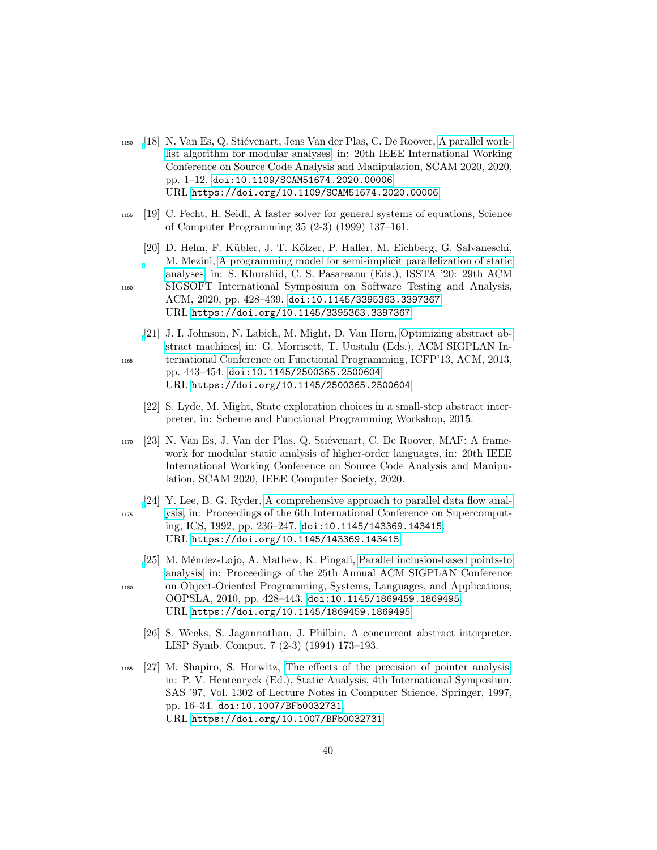- <span id="page-39-0"></span> $_{1150}$  [\[](https://doi.org/10.1109/SCAM51674.2020.00006)18] N. Van Es, Q. Stiévenart, Jens Van der Plas, C. De Roover, [A parallel work](https://doi.org/10.1109/SCAM51674.2020.00006)[list algorithm for modular analyses,](https://doi.org/10.1109/SCAM51674.2020.00006) in: 20th IEEE International Working Conference on Source Code Analysis and Manipulation, SCAM 2020, 2020, pp. 1–12. [doi:10.1109/SCAM51674.2020.00006](https://doi.org/10.1109/SCAM51674.2020.00006). URL <https://doi.org/10.1109/SCAM51674.2020.00006>
- <span id="page-39-1"></span><sup>1155</sup> [19] C. Fecht, H. Seidl, A faster solver for general systems of equations, Science of Computer Programming 35 (2-3) (1999) 137–161.
- <span id="page-39-2"></span>[20] D. Helm, F. K¨ubler, J. T. K¨olzer, P. Haller, M. Eichberg, G. Salvaneschi, M. Mezini, [A programming model for semi-implicit parallelization of static](https://doi.org/10.1145/3395363.3397367) [analyses,](https://doi.org/10.1145/3395363.3397367) in: S. Khurshid, C. S. Pasareanu (Eds.), ISSTA '20: 29th ACM <sup>1160</sup> SIGSOFT International Symposium on Software Testing and Analysis,
	- ACM, 2020, pp. 428–439. [doi:10.1145/3395363.3397367](https://doi.org/10.1145/3395363.3397367). URL <https://doi.org/10.1145/3395363.3397367>
- <span id="page-39-3"></span>[\[](https://doi.org/10.1145/2500365.2500604)21] J. I. Johnson, N. Labich, M. Might, D. Van Horn, [Optimizing abstract ab](https://doi.org/10.1145/2500365.2500604)[stract machines,](https://doi.org/10.1145/2500365.2500604) in: G. Morrisett, T. Uustalu (Eds.), ACM SIGPLAN In-<sup>1165</sup> ternational Conference on Functional Programming, ICFP'13, ACM, 2013, pp. 443–454. [doi:10.1145/2500365.2500604](https://doi.org/10.1145/2500365.2500604). URL <https://doi.org/10.1145/2500365.2500604>
	- [22] S. Lyde, M. Might, State exploration choices in a small-step abstract interpreter, in: Scheme and Functional Programming Workshop, 2015.
- <span id="page-39-5"></span><span id="page-39-4"></span><sup>1170</sup> [23] N. Van Es, J. Van der Plas, Q. Stiévenart, C. De Roover, MAF: A framework for modular static analysis of higher-order languages, in: 20th IEEE International Working Conference on Source Code Analysis and Manipulation, SCAM 2020, IEEE Computer Society, 2020.
- <span id="page-39-6"></span>[\[](https://doi.org/10.1145/143369.143415)24] Y. Lee, B. G. Ryder, [A comprehensive approach to parallel data flow anal-](https://doi.org/10.1145/143369.143415)<sup>1175</sup> [ysis,](https://doi.org/10.1145/143369.143415) in: Proceedings of the 6th International Conference on Supercomputing, ICS, 1992, pp. 236–247. [doi:10.1145/143369.143415](https://doi.org/10.1145/143369.143415). URL <https://doi.org/10.1145/143369.143415>
- <span id="page-39-7"></span>[\[](https://doi.org/10.1145/1869459.1869495)25] M. Méndez-Lojo, A. Mathew, K. Pingali, [Parallel inclusion-based points-to](https://doi.org/10.1145/1869459.1869495) [analysis,](https://doi.org/10.1145/1869459.1869495) in: Proceedings of the 25th Annual ACM SIGPLAN Conference <sup>1180</sup> on Object-Oriented Programming, Systems, Languages, and Applications, OOPSLA, 2010, pp. 428–443. [doi:10.1145/1869459.1869495](https://doi.org/10.1145/1869459.1869495).
	- [26] S. Weeks, S. Jagannathan, J. Philbin, A concurrent abstract interpreter, LISP Symb. Comput. 7 (2-3) (1994) 173–193.

<span id="page-39-8"></span>URL <https://doi.org/10.1145/1869459.1869495>

- <span id="page-39-9"></span><sup>1185</sup> [27] M. Shapiro, S. Horwitz, [The effects of the precision of pointer analysis,](https://doi.org/10.1007/BFb0032731) in: P. V. Hentenryck (Ed.), Static Analysis, 4th International Symposium, SAS '97, Vol. 1302 of Lecture Notes in Computer Science, Springer, 1997, pp. 16–34. [doi:10.1007/BFb0032731](https://doi.org/10.1007/BFb0032731). URL <https://doi.org/10.1007/BFb0032731>
	- 40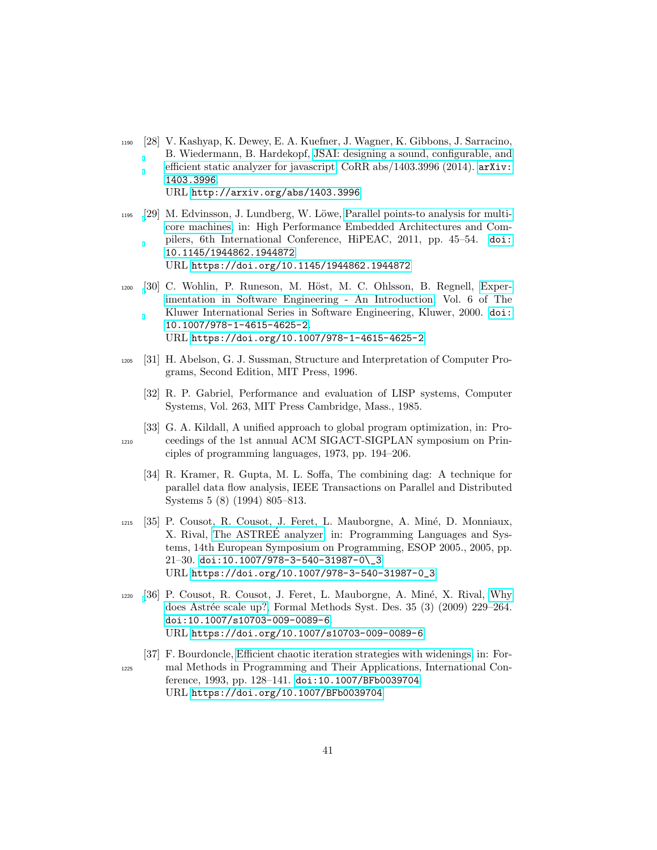- <span id="page-40-0"></span><sup>1190</sup> [28] V. Kashyap, K. Dewey, E. A. Kuefner, J. Wagner, K. Gibbons, J. Sarracino, B. Wiedermann, B. Hardekopf, [JSAI: designing a sound, configurable, and](http://arxiv.org/abs/1403.3996) [efficient static analyzer for javascript,](http://arxiv.org/abs/1403.3996) CoRR abs/1403.3996 (2014). [arXiv:](http://arxiv.org/abs/1403.3996) [1403.3996](http://arxiv.org/abs/1403.3996). URL <http://arxiv.org/abs/1403.3996>
- <span id="page-40-1"></span> $1195$  [\[](https://doi.org/10.1145/1944862.1944872)29] M. Edvinsson, J. Lundberg, W. Löwe, [Parallel points-to analysis for multi](https://doi.org/10.1145/1944862.1944872)[core machines,](https://doi.org/10.1145/1944862.1944872) in: High Performance Embedded Architectures and Compilers, 6th International Conference, HiPEAC, 2011, pp. 45–54. [doi:](https://doi.org/10.1145/1944862.1944872) [10.1145/1944862.1944872](https://doi.org/10.1145/1944862.1944872). URL <https://doi.org/10.1145/1944862.1944872>
- <span id="page-40-2"></span>1200 [\[](https://doi.org/10.1007/978-1-4615-4625-2)30] C. Wohlin, P. Runeson, M. Höst, M. C. Ohlsson, B. Regnell, [Exper](https://doi.org/10.1007/978-1-4615-4625-2)[imentation in Software Engineering - An Introduction,](https://doi.org/10.1007/978-1-4615-4625-2) Vol. 6 of The Kluwer International Series in Software Engineering, Kluwer, 2000. [doi:](https://doi.org/10.1007/978-1-4615-4625-2) [10.1007/978-1-4615-4625-2](https://doi.org/10.1007/978-1-4615-4625-2). URL <https://doi.org/10.1007/978-1-4615-4625-2>
- <span id="page-40-4"></span><span id="page-40-3"></span><sup>1205</sup> [31] H. Abelson, G. J. Sussman, Structure and Interpretation of Computer Programs, Second Edition, MIT Press, 1996.
	- [32] R. P. Gabriel, Performance and evaluation of LISP systems, Computer Systems, Vol. 263, MIT Press Cambridge, Mass., 1985.
- <span id="page-40-6"></span><span id="page-40-5"></span>[33] G. A. Kildall, A unified approach to global program optimization, in: Pro-<sup>1210</sup> ceedings of the 1st annual ACM SIGACT-SIGPLAN symposium on Principles of programming languages, 1973, pp. 194–206.
	- [34] R. Kramer, R. Gupta, M. L. Soffa, The combining dag: A technique for parallel data flow analysis, IEEE Transactions on Parallel and Distributed Systems 5 (8) (1994) 805–813.
- <span id="page-40-7"></span><sup>1215</sup> [35] P. Cousot, R. Cousot, J. Feret, L. Mauborgne, A. Min´e, D. Monniaux, X. Rival, [The ASTREE analyzer,](https://doi.org/10.1007/978-3-540-31987-0_3) in: Programming Languages and Sys- ´ tems, 14th European Symposium on Programming, ESOP 2005., 2005, pp. 21–30. [doi:10.1007/978-3-540-31987-0\\\_3](https://doi.org/10.1007/978-3-540-31987-0_3). URL [https://doi.org/10.1007/978-3-540-31987-0\\_3](https://doi.org/10.1007/978-3-540-31987-0_3)
- <span id="page-40-8"></span> $1220$  [\[](https://doi.org/10.1007/s10703-009-0089-6)36] P. Cousot, R. Cousot, J. Feret, L. Mauborgne, A. Miné, X. Rival, [Why](https://doi.org/10.1007/s10703-009-0089-6) does Astrée scale up?, Formal Methods Syst. Des. 35 (3) (2009) 229-264. [doi:10.1007/s10703-009-0089-6](https://doi.org/10.1007/s10703-009-0089-6). URL <https://doi.org/10.1007/s10703-009-0089-6>
- <span id="page-40-9"></span>[37] F. Bourdoncle, [Efficient chaotic iteration strategies with widenings,](https://doi.org/10.1007/BFb0039704) in: For-<sup>1225</sup> mal Methods in Programming and Their Applications, International Conference, 1993, pp. 128–141. [doi:10.1007/BFb0039704](https://doi.org/10.1007/BFb0039704). URL <https://doi.org/10.1007/BFb0039704>